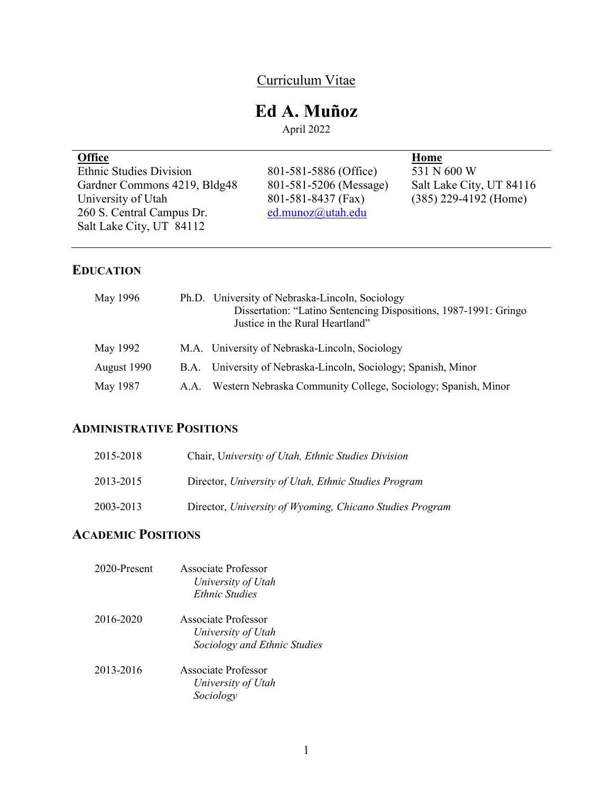# Curriculum Vitae

# **Ed A. Muñoz**

April 2022

| <b>Office</b>                  |                        | Home                     |
|--------------------------------|------------------------|--------------------------|
| <b>Ethnic Studies Division</b> | 801-581-5886 (Office)  | 531 N 600 W              |
| Gardner Commons 4219, Bldg48   | 801-581-5206 (Message) | Salt Lake City, UT 84116 |
| University of Utah             | 801-581-8437 (Fax)     | $(385)$ 229-4192 (Home)  |
| 260 S. Central Campus Dr.      | ed.munoz@utah.edu      |                          |
| Salt Lake City, UT 84112       |                        |                          |
|                                |                        |                          |

## **EDUCATION**

| May 1996    | Ph.D. University of Nebraska-Lincoln, Sociology<br>Dissertation: "Latino Sentencing Dispositions, 1987-1991: Gringo<br>Justice in the Rural Heartland" |
|-------------|--------------------------------------------------------------------------------------------------------------------------------------------------------|
| May 1992    | M.A. University of Nebraska-Lincoln, Sociology                                                                                                         |
| August 1990 | B.A. University of Nebraska-Lincoln, Sociology; Spanish, Minor                                                                                         |
| May 1987    | A.A. Western Nebraska Community College, Sociology; Spanish, Minor                                                                                     |

## **ADMINISTRATIVE POSITIONS**

| 2015-2018 | Chair, University of Utah, Ethnic Studies Division       |
|-----------|----------------------------------------------------------|
| 2013-2015 | Director, University of Utah, Ethnic Studies Program     |
| 2003-2013 | Director, University of Wyoming, Chicano Studies Program |

## **ACADEMIC POSITIONS**

| 2020-Present | Associate Professor<br>University of Utah<br><b>Ethnic Studies</b>        |
|--------------|---------------------------------------------------------------------------|
| 2016-2020    | Associate Professor<br>University of Utah<br>Sociology and Ethnic Studies |
| 2013-2016    | Associate Professor<br>University of Utah<br>Sociology                    |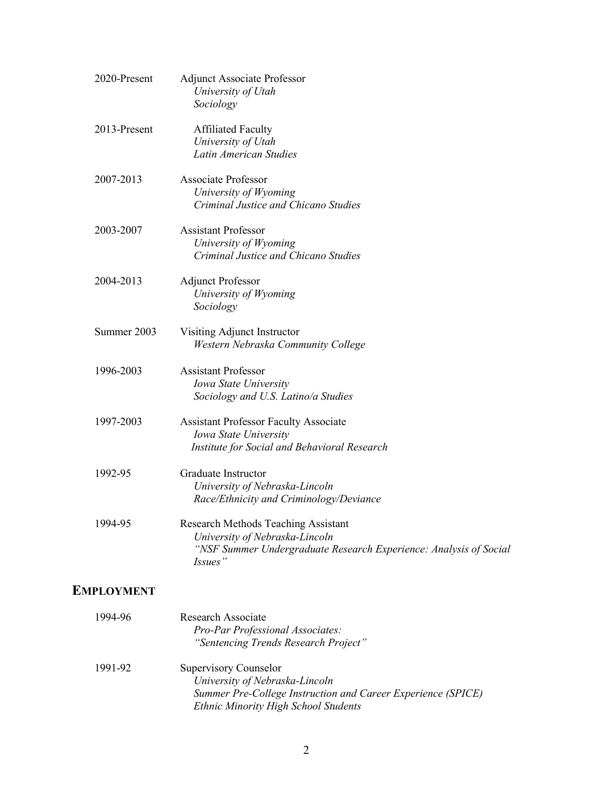| 2020-Present | <b>Adjunct Associate Professor</b><br>University of Utah<br>Sociology                                                                                 |
|--------------|-------------------------------------------------------------------------------------------------------------------------------------------------------|
| 2013-Present | <b>Affiliated Faculty</b><br>University of Utah<br>Latin American Studies                                                                             |
| 2007-2013    | <b>Associate Professor</b><br>University of Wyoming<br>Criminal Justice and Chicano Studies                                                           |
| 2003-2007    | <b>Assistant Professor</b><br>University of Wyoming<br>Criminal Justice and Chicano Studies                                                           |
| 2004-2013    | <b>Adjunct Professor</b><br>University of Wyoming<br>Sociology                                                                                        |
| Summer 2003  | Visiting Adjunct Instructor<br>Western Nebraska Community College                                                                                     |
| 1996-2003    | <b>Assistant Professor</b><br>Iowa State University<br>Sociology and U.S. Latino/a Studies                                                            |
| 1997-2003    | <b>Assistant Professor Faculty Associate</b><br>Iowa State University<br>Institute for Social and Behavioral Research                                 |
| 1992-95      | Graduate Instructor<br>University of Nebraska-Lincoln<br>Race/Ethnicity and Criminology/Deviance                                                      |
| 1994-95      | Research Methods Teaching Assistant<br>University of Nebraska-Lincoln<br>"NSF Summer Undergraduate Research Experience: Analysis of Social<br>Issues" |

## **EMPLOYMENT**

| 1994-96 | Research Associate<br><b>Pro-Par Professional Associates:</b><br>"Sentencing Trends Research Project" |
|---------|-------------------------------------------------------------------------------------------------------|
| 1991-92 | Supervisory Counselor<br>University of Nebraska-Lincoln                                               |
|         | Summer Pre-College Instruction and Career Experience (SPICE)<br>Ethnic Minority High School Students  |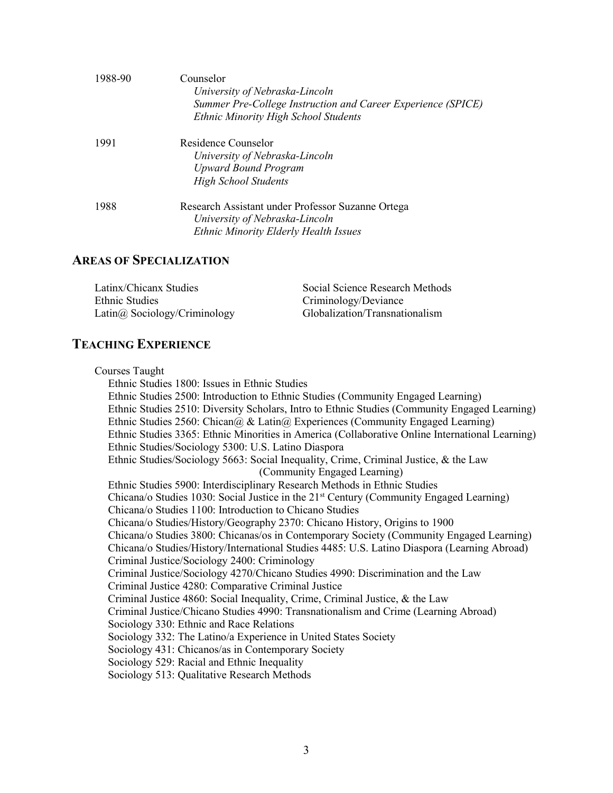| 1988-90 | Counselor<br>University of Nebraska-Lincoln<br>Summer Pre-College Instruction and Career Experience (SPICE)<br>Ethnic Minority High School Students |
|---------|-----------------------------------------------------------------------------------------------------------------------------------------------------|
| 1991    | Residence Counselor<br>University of Nebraska-Lincoln<br><b>Upward Bound Program</b><br><b>High School Students</b>                                 |
| 1988    | Research Assistant under Professor Suzanne Ortega<br>University of Nebraska-Lincoln<br><b>Ethnic Minority Elderly Health Issues</b>                 |

## **AREAS OF SPECIALIZATION**

| Latinx/Chicanx Studies               | Social Science Research Methods |
|--------------------------------------|---------------------------------|
| Ethnic Studies                       | Criminology/Deviance            |
| Latin $\omega$ Sociology/Criminology | Globalization/Transnationalism  |

## **TEACHING EXPERIENCE**

Courses Taught Ethnic Studies 1800: Issues in Ethnic Studies Ethnic Studies 2500: Introduction to Ethnic Studies (Community Engaged Learning) Ethnic Studies 2510: Diversity Scholars, Intro to Ethnic Studies (Community Engaged Learning) Ethnic Studies 2560: Chican@ & Latin@ Experiences (Community Engaged Learning) Ethnic Studies 3365: Ethnic Minorities in America (Collaborative Online International Learning) Ethnic Studies/Sociology 5300: U.S. Latino Diaspora Ethnic Studies/Sociology 5663: Social Inequality, Crime, Criminal Justice, & the Law (Community Engaged Learning) Ethnic Studies 5900: Interdisciplinary Research Methods in Ethnic Studies Chicana/o Studies 1030: Social Justice in the 21st Century (Community Engaged Learning) Chicana/o Studies 1100: Introduction to Chicano Studies Chicana/o Studies/History/Geography 2370: Chicano History, Origins to 1900 Chicana/o Studies 3800: Chicanas/os in Contemporary Society (Community Engaged Learning) Chicana/o Studies/History/International Studies 4485: U.S. Latino Diaspora (Learning Abroad) Criminal Justice/Sociology 2400: Criminology Criminal Justice/Sociology 4270/Chicano Studies 4990: Discrimination and the Law Criminal Justice 4280: Comparative Criminal Justice Criminal Justice 4860: Social Inequality, Crime, Criminal Justice, & the Law Criminal Justice/Chicano Studies 4990: Transnationalism and Crime (Learning Abroad) Sociology 330: Ethnic and Race Relations Sociology 332: The Latino/a Experience in United States Society Sociology 431: Chicanos/as in Contemporary Society Sociology 529: Racial and Ethnic Inequality Sociology 513: Qualitative Research Methods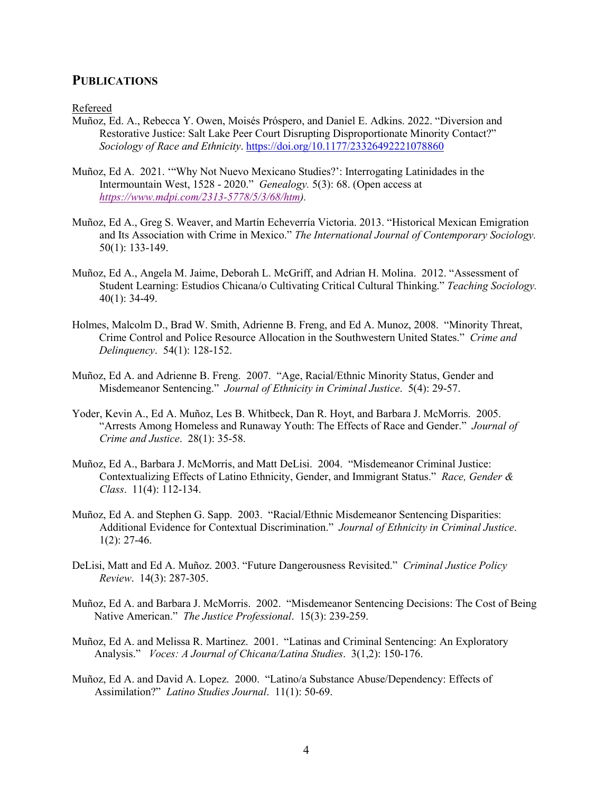## **PUBLICATIONS**

Refereed

- Muñoz, Ed. A., Rebecca Y. Owen, Moisés Próspero, and Daniel E. Adkins. 2022. "Diversion and Restorative Justice: Salt Lake Peer Court Disrupting Disproportionate Minority Contact?" *Sociology of Race and Ethnicity*.<https://doi.org/10.1177/23326492221078860>
- Muñoz, Ed A. 2021. '"Why Not Nuevo Mexicano Studies?': Interrogating Latinidades in the Intermountain West, 1528 - 2020." *Genealogy.* 5(3): 68. (Open access at *[https://www.mdpi.com/2313-5778/5/3/68/htm\)](https://www.mdpi.com/2313-5778/5/3/68/htm).*
- Muñoz, Ed A., Greg S. Weaver, and Martín Echeverría Victoria. 2013. "Historical Mexican Emigration and Its Association with Crime in Mexico." *The International Journal of Contemporary Sociology.* 50(1): 133-149.
- Muñoz, Ed A., Angela M. Jaime, Deborah L. McGriff, and Adrian H. Molina. 2012. "Assessment of Student Learning: Estudios Chicana/o Cultivating Critical Cultural Thinking." *Teaching Sociology.* 40(1): 34-49.
- Holmes, Malcolm D., Brad W. Smith, Adrienne B. Freng, and Ed A. Munoz, 2008. "Minority Threat, Crime Control and Police Resource Allocation in the Southwestern United States." *Crime and Delinquency*. 54(1): 128-152.
- Muñoz, Ed A. and Adrienne B. Freng. 2007. "Age, Racial/Ethnic Minority Status, Gender and Misdemeanor Sentencing." *Journal of Ethnicity in Criminal Justice*. 5(4): 29-57.
- Yoder, Kevin A., Ed A. Muñoz, Les B. Whitbeck, Dan R. Hoyt, and Barbara J. McMorris. 2005. "Arrests Among Homeless and Runaway Youth: The Effects of Race and Gender." *Journal of Crime and Justice*. 28(1): 35-58.
- Muñoz, Ed A., Barbara J. McMorris, and Matt DeLisi. 2004. "Misdemeanor Criminal Justice: Contextualizing Effects of Latino Ethnicity, Gender, and Immigrant Status." *Race, Gender & Class*. 11(4): 112-134.
- Muñoz, Ed A. and Stephen G. Sapp. 2003. "Racial/Ethnic Misdemeanor Sentencing Disparities: Additional Evidence for Contextual Discrimination." *Journal of Ethnicity in Criminal Justice*.  $1(2): 27-46.$
- DeLisi, Matt and Ed A. Muñoz. 2003. "Future Dangerousness Revisited." *Criminal Justice Policy Review*. 14(3): 287-305.
- Muñoz, Ed A. and Barbara J. McMorris. 2002. "Misdemeanor Sentencing Decisions: The Cost of Being Native American." *The Justice Professional*. 15(3): 239-259.
- Muñoz, Ed A. and Melissa R. Martinez. 2001. "Latinas and Criminal Sentencing: An Exploratory Analysis." *Voces: A Journal of Chicana/Latina Studies*. 3(1,2): 150-176.
- Muñoz, Ed A. and David A. Lopez. 2000. "Latino/a Substance Abuse/Dependency: Effects of Assimilation?" *Latino Studies Journal*. 11(1): 50-69.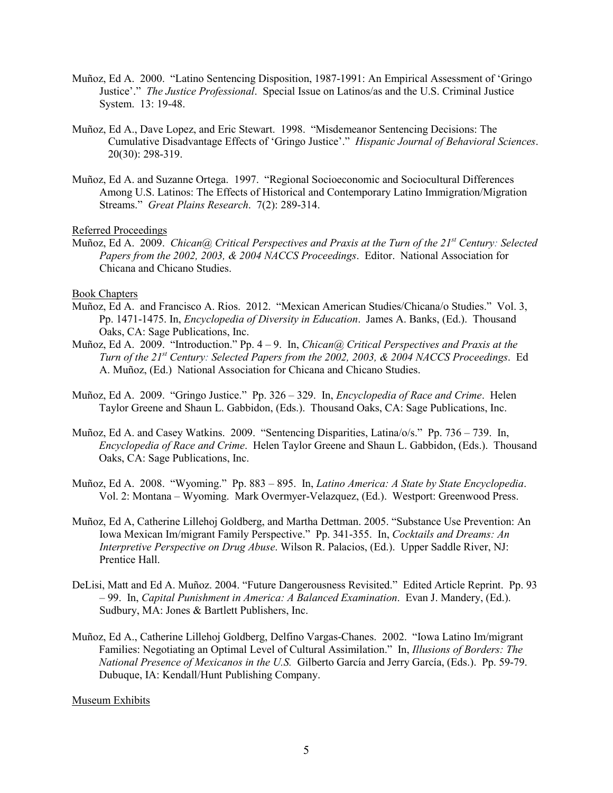- Muñoz, Ed A. 2000. "Latino Sentencing Disposition, 1987-1991: An Empirical Assessment of 'Gringo Justice'." *The Justice Professional*. Special Issue on Latinos/as and the U.S. Criminal Justice System. 13: 19-48.
- Muñoz, Ed A., Dave Lopez, and Eric Stewart. 1998. "Misdemeanor Sentencing Decisions: The Cumulative Disadvantage Effects of 'Gringo Justice'." *Hispanic Journal of Behavioral Sciences*. 20(30): 298-319.
- Muñoz, Ed A. and Suzanne Ortega. 1997. "Regional Socioeconomic and Sociocultural Differences Among U.S. Latinos: The Effects of Historical and Contemporary Latino Immigration/Migration Streams." *Great Plains Research*. 7(2): 289-314.

#### Referred Proceedings

Muñoz, Ed A. 2009. *Chican@ Critical Perspectives and Praxis at the Turn of the 21st Century: Selected Papers from the 2002, 2003, & 2004 NACCS Proceedings*. Editor. National Association for Chicana and Chicano Studies.

#### Book Chapters

- Muñoz, Ed A. and Francisco A. Rios. 2012. "Mexican American Studies/Chicana/o Studies." Vol. 3, Pp. 1471-1475. In, *Encyclopedia of Diversity in Education*. James A. Banks, (Ed.). Thousand Oaks, CA: Sage Publications, Inc.
- Muñoz, Ed A. 2009. "Introduction." Pp. 4 9. In, *Chican@ Critical Perspectives and Praxis at the Turn of the 21st Century: Selected Papers from the 2002, 2003, & 2004 NACCS Proceedings*. Ed A. Muñoz, (Ed.) National Association for Chicana and Chicano Studies.
- Muñoz, Ed A. 2009. "Gringo Justice." Pp. 326 329. In, *Encyclopedia of Race and Crime*. Helen Taylor Greene and Shaun L. Gabbidon, (Eds.). Thousand Oaks, CA: Sage Publications, Inc.
- Muñoz, Ed A. and Casey Watkins. 2009. "Sentencing Disparities, Latina/o/s." Pp. 736 739. In, *Encyclopedia of Race and Crime*. Helen Taylor Greene and Shaun L. Gabbidon, (Eds.). Thousand Oaks, CA: Sage Publications, Inc.
- Muñoz, Ed A. 2008. "Wyoming." Pp. 883 895. In, *Latino America: A State by State Encyclopedia*. Vol. 2: Montana – Wyoming. Mark Overmyer-Velazquez, (Ed.). Westport: Greenwood Press.
- Muñoz, Ed A, Catherine Lillehoj Goldberg, and Martha Dettman. 2005. "Substance Use Prevention: An Iowa Mexican Im/migrant Family Perspective." Pp. 341-355. In, *Cocktails and Dreams: An Interpretive Perspective on Drug Abuse*. Wilson R. Palacios, (Ed.). Upper Saddle River, NJ: Prentice Hall.
- DeLisi, Matt and Ed A. Muñoz. 2004. "Future Dangerousness Revisited." Edited Article Reprint. Pp. 93 – 99. In, *Capital Punishment in America: A Balanced Examination*. Evan J. Mandery, (Ed.). Sudbury, MA: Jones & Bartlett Publishers, Inc.
- Muñoz, Ed A., Catherine Lillehoj Goldberg, Delfino Vargas-Chanes. 2002. "Iowa Latino Im/migrant Families: Negotiating an Optimal Level of Cultural Assimilation." In, *Illusions of Borders: The National Presence of Mexicanos in the U.S.* Gilberto García and Jerry García, (Eds.). Pp. 59-79. Dubuque, IA: Kendall/Hunt Publishing Company.

#### Museum Exhibits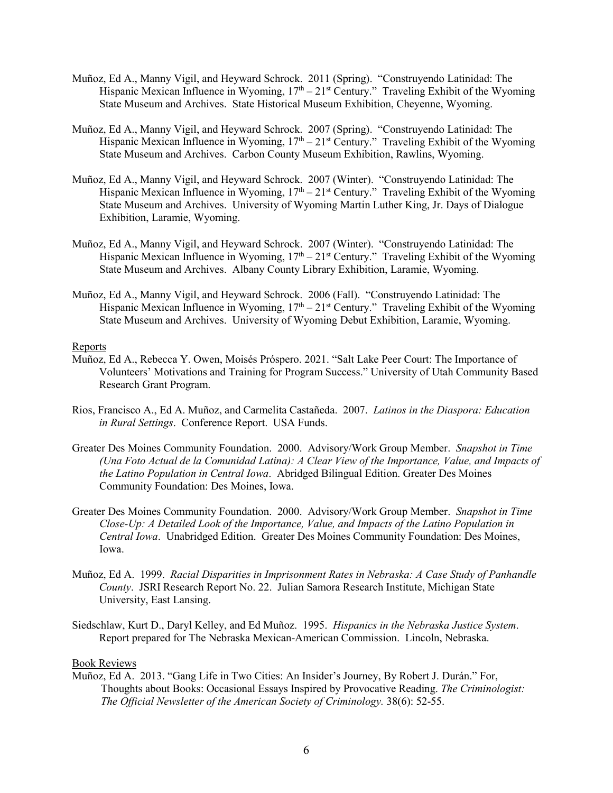- Muñoz, Ed A., Manny Vigil, and Heyward Schrock. 2011 (Spring). "Construyendo Latinidad: The Hispanic Mexican Influence in Wyoming,  $17<sup>th</sup> - 21<sup>st</sup>$  Century." Traveling Exhibit of the Wyoming State Museum and Archives. State Historical Museum Exhibition, Cheyenne, Wyoming.
- Muñoz, Ed A., Manny Vigil, and Heyward Schrock. 2007 (Spring). "Construyendo Latinidad: The Hispanic Mexican Influence in Wyoming,  $17<sup>th</sup> - 21<sup>st</sup>$  Century." Traveling Exhibit of the Wyoming State Museum and Archives. Carbon County Museum Exhibition, Rawlins, Wyoming.
- Muñoz, Ed A., Manny Vigil, and Heyward Schrock. 2007 (Winter). "Construyendo Latinidad: The Hispanic Mexican Influence in Wyoming,  $17<sup>th</sup> - 21<sup>st</sup>$  Century." Traveling Exhibit of the Wyoming State Museum and Archives. University of Wyoming Martin Luther King, Jr. Days of Dialogue Exhibition, Laramie, Wyoming.
- Muñoz, Ed A., Manny Vigil, and Heyward Schrock. 2007 (Winter). "Construyendo Latinidad: The Hispanic Mexican Influence in Wyoming,  $17<sup>th</sup> - 21<sup>st</sup>$  Century." Traveling Exhibit of the Wyoming State Museum and Archives. Albany County Library Exhibition, Laramie, Wyoming.
- Muñoz, Ed A., Manny Vigil, and Heyward Schrock. 2006 (Fall). "Construyendo Latinidad: The Hispanic Mexican Influence in Wyoming,  $17<sup>th</sup> - 21<sup>st</sup>$  Century." Traveling Exhibit of the Wyoming State Museum and Archives. University of Wyoming Debut Exhibition, Laramie, Wyoming.

#### Reports

- Muñoz, Ed A., Rebecca Y. Owen, Moisés Próspero. 2021. "Salt Lake Peer Court: The Importance of Volunteers' Motivations and Training for Program Success." University of Utah Community Based Research Grant Program.
- Rios, Francisco A., Ed A. Muñoz, and Carmelita Castañeda. 2007. *Latinos in the Diaspora: Education in Rural Settings*. Conference Report. USA Funds.
- Greater Des Moines Community Foundation. 2000. Advisory/Work Group Member. *Snapshot in Time (Una Foto Actual de la Comunidad Latina): A Clear View of the Importance, Value, and Impacts of the Latino Population in Central Iowa*. Abridged Bilingual Edition. Greater Des Moines Community Foundation: Des Moines, Iowa.
- Greater Des Moines Community Foundation. 2000. Advisory/Work Group Member. *Snapshot in Time Close-Up: A Detailed Look of the Importance, Value, and Impacts of the Latino Population in Central Iowa*. Unabridged Edition. Greater Des Moines Community Foundation: Des Moines, Iowa.
- Muñoz, Ed A. 1999. *Racial Disparities in Imprisonment Rates in Nebraska: A Case Study of Panhandle County*. JSRI Research Report No. 22. Julian Samora Research Institute, Michigan State University, East Lansing.
- Siedschlaw, Kurt D., Daryl Kelley, and Ed Muñoz. 1995. *Hispanics in the Nebraska Justice System*. Report prepared for The Nebraska Mexican-American Commission. Lincoln, Nebraska.

#### Book Reviews

Muñoz, Ed A. 2013. "Gang Life in Two Cities: An Insider's Journey, By Robert J. Durán." For, Thoughts about Books: Occasional Essays Inspired by Provocative Reading. *The Criminologist: The Official Newsletter of the American Society of Criminology.* 38(6): 52-55.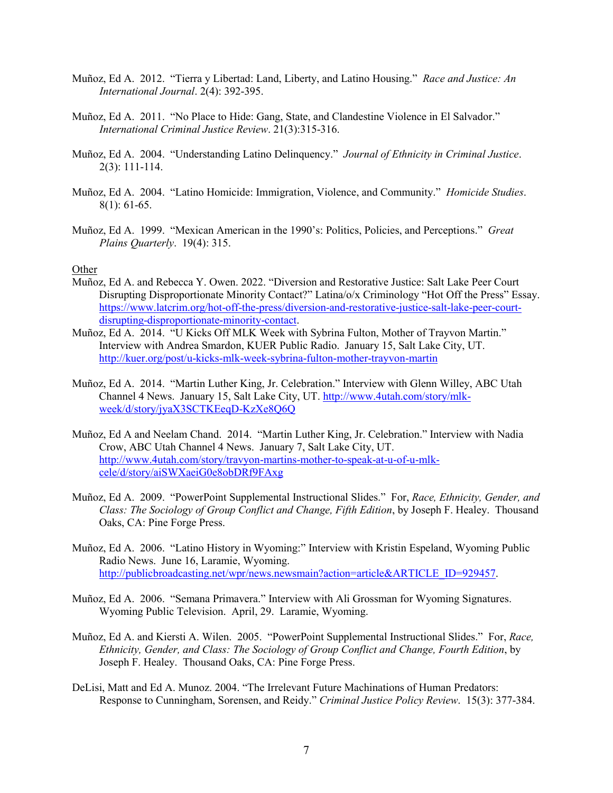- Muñoz, Ed A. 2012. "Tierra y Libertad: Land, Liberty, and Latino Housing." *Race and Justice: An International Journal*. 2(4): 392-395.
- Muñoz, Ed A. 2011. "No Place to Hide: Gang, State, and Clandestine Violence in El Salvador." *International Criminal Justice Review*. 21(3):315-316.
- Muñoz, Ed A. 2004. "Understanding Latino Delinquency." *Journal of Ethnicity in Criminal Justice*. 2(3): 111-114.
- Muñoz, Ed A. 2004. "Latino Homicide: Immigration, Violence, and Community." *Homicide Studies*. 8(1): 61-65.
- Muñoz, Ed A. 1999. "Mexican American in the 1990's: Politics, Policies, and Perceptions." *Great Plains Quarterly*. 19(4): 315.

#### **Other**

- Muñoz, Ed A. and Rebecca Y. Owen. 2022. "Diversion and Restorative Justice: Salt Lake Peer Court Disrupting Disproportionate Minority Contact?" Latina/o/x Criminology "Hot Off the Press" Essay. [https://www.latcrim.org/hot-off-the-press/diversion-and-restorative-justice-salt-lake-peer-court](https://www.latcrim.org/hot-off-the-press/diversion-and-restorative-justice-salt-lake-peer-court-disrupting-disproportionate-minority-contact)[disrupting-disproportionate-minority-contact.](https://www.latcrim.org/hot-off-the-press/diversion-and-restorative-justice-salt-lake-peer-court-disrupting-disproportionate-minority-contact)
- Muñoz, Ed A. 2014. "U Kicks Off MLK Week with Sybrina Fulton, Mother of Trayvon Martin." Interview with Andrea Smardon, KUER Public Radio. January 15, Salt Lake City, UT. <http://kuer.org/post/u-kicks-mlk-week-sybrina-fulton-mother-trayvon-martin>
- Muñoz, Ed A. 2014. "Martin Luther King, Jr. Celebration." Interview with Glenn Willey, ABC Utah Channel 4 News. January 15, Salt Lake City, UT[. http://www.4utah.com/story/mlk](http://www.4utah.com/story/mlk-week/d/story/jyaX3SCTKEeqD-KzXe8Q6Q)[week/d/story/jyaX3SCTKEeqD-KzXe8Q6Q](http://www.4utah.com/story/mlk-week/d/story/jyaX3SCTKEeqD-KzXe8Q6Q)
- Muñoz, Ed A and Neelam Chand. 2014. "Martin Luther King, Jr. Celebration." Interview with Nadia Crow, ABC Utah Channel 4 News. January 7, Salt Lake City, UT. [http://www.4utah.com/story/travyon-martins-mother-to-speak-at-u-of-u-mlk](http://www.4utah.com/story/travyon-martins-mother-to-speak-at-u-of-u-mlk-cele/d/story/aiSWXaeiG0e8obDRf9FAxg)[cele/d/story/aiSWXaeiG0e8obDRf9FAxg](http://www.4utah.com/story/travyon-martins-mother-to-speak-at-u-of-u-mlk-cele/d/story/aiSWXaeiG0e8obDRf9FAxg)
- Muñoz, Ed A. 2009. "PowerPoint Supplemental Instructional Slides." For, *Race, Ethnicity, Gender, and Class: The Sociology of Group Conflict and Change, Fifth Edition*, by Joseph F. Healey. Thousand Oaks, CA: Pine Forge Press.
- Muñoz, Ed A. 2006. "Latino History in Wyoming:" Interview with Kristin Espeland, Wyoming Public Radio News. June 16, Laramie, Wyoming. [http://publicbroadcasting.net/wpr/news.newsmain?action=article&ARTICLE\\_ID=929457.](http://publicbroadcasting.net/wpr/news.newsmain?action=article&ARTICLE_ID=929457)
- Muñoz, Ed A. 2006. "Semana Primavera." Interview with Ali Grossman for Wyoming Signatures. Wyoming Public Television. April, 29. Laramie, Wyoming.
- Muñoz, Ed A. and Kiersti A. Wilen. 2005. "PowerPoint Supplemental Instructional Slides." For, *Race, Ethnicity, Gender, and Class: The Sociology of Group Conflict and Change, Fourth Edition*, by Joseph F. Healey. Thousand Oaks, CA: Pine Forge Press.
- DeLisi, Matt and Ed A. Munoz. 2004. "The Irrelevant Future Machinations of Human Predators: Response to Cunningham, Sorensen, and Reidy." *Criminal Justice Policy Review*. 15(3): 377-384.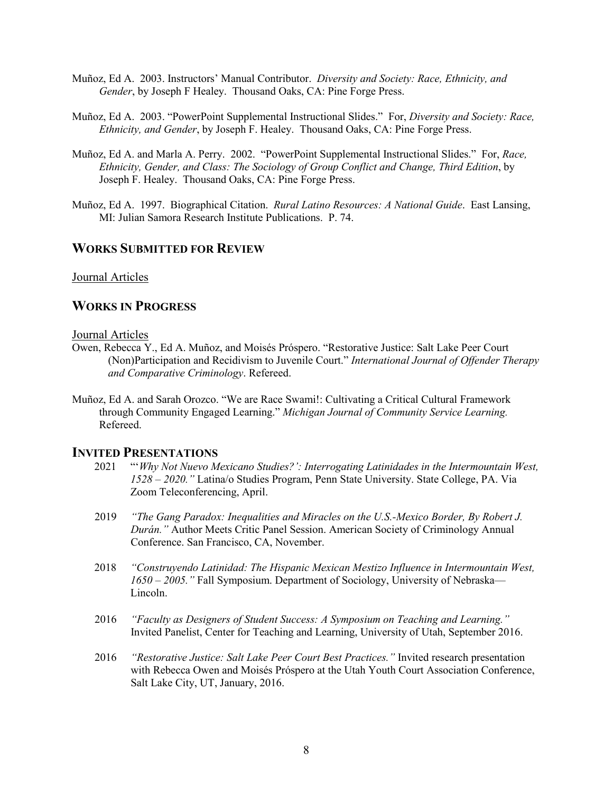- Muñoz, Ed A. 2003. Instructors' Manual Contributor. *Diversity and Society: Race, Ethnicity, and Gender*, by Joseph F Healey. Thousand Oaks, CA: Pine Forge Press.
- Muñoz, Ed A. 2003. "PowerPoint Supplemental Instructional Slides." For, *Diversity and Society: Race, Ethnicity, and Gender*, by Joseph F. Healey. Thousand Oaks, CA: Pine Forge Press.
- Muñoz, Ed A. and Marla A. Perry. 2002. "PowerPoint Supplemental Instructional Slides." For, *Race, Ethnicity, Gender, and Class: The Sociology of Group Conflict and Change, Third Edition*, by Joseph F. Healey. Thousand Oaks, CA: Pine Forge Press.
- Muñoz, Ed A. 1997. Biographical Citation. *Rural Latino Resources: A National Guide*. East Lansing, MI: Julian Samora Research Institute Publications. P. 74.

## **WORKS SUBMITTED FOR REVIEW**

#### Journal Articles

## **WORKS IN PROGRESS**

#### Journal Articles

- Owen, Rebecca Y., Ed A. Muñoz, and Moisés Próspero. "Restorative Justice: Salt Lake Peer Court (Non)Participation and Recidivism to Juvenile Court." *International Journal of Offender Therapy and Comparative Criminology*. Refereed.
- Muñoz, Ed A. and Sarah Orozco. "We are Race Swami!: Cultivating a Critical Cultural Framework through Community Engaged Learning." *Michigan Journal of Community Service Learning.* Refereed.

## **INVITED PRESENTATIONS**

- 2021 "'*Why Not Nuevo Mexicano Studies?': Interrogating Latinidades in the Intermountain West, 1528 – 2020."* Latina/o Studies Program, Penn State University. State College, PA. Via Zoom Teleconferencing, April.
- 2019 *"The Gang Paradox: Inequalities and Miracles on the U.S.-Mexico Border, By Robert J. Durán."* Author Meets Critic Panel Session. American Society of Criminology Annual Conference. San Francisco, CA, November.
- 2018 *"Construyendo Latinidad: The Hispanic Mexican Mestizo Influence in Intermountain West, 1650 – 2005."* Fall Symposium. Department of Sociology, University of Nebraska— Lincoln.
- 2016 *"Faculty as Designers of Student Success: A Symposium on Teaching and Learning."* Invited Panelist, Center for Teaching and Learning, University of Utah, September 2016.
- 2016 *"Restorative Justice: Salt Lake Peer Court Best Practices."* Invited research presentation with Rebecca Owen and Moisés Próspero at the Utah Youth Court Association Conference, Salt Lake City, UT, January, 2016.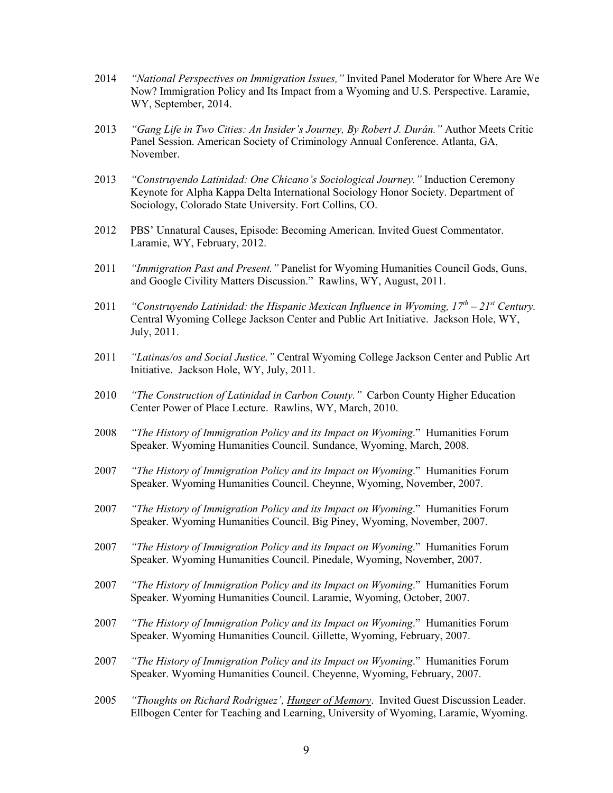- 2014 *"National Perspectives on Immigration Issues,"* Invited Panel Moderator for Where Are We Now? Immigration Policy and Its Impact from a Wyoming and U.S. Perspective. Laramie, WY, September, 2014.
- 2013 *"Gang Life in Two Cities: An Insider's Journey, By Robert J. Durán."* Author Meets Critic Panel Session. American Society of Criminology Annual Conference. Atlanta, GA, November.
- 2013 *"Construyendo Latinidad: One Chicano's Sociological Journey."* Induction Ceremony Keynote for Alpha Kappa Delta International Sociology Honor Society. Department of Sociology, Colorado State University. Fort Collins, CO.
- 2012 PBS' Unnatural Causes, Episode: Becoming American. Invited Guest Commentator. Laramie, WY, February, 2012.
- 2011 *"Immigration Past and Present."* Panelist for Wyoming Humanities Council Gods, Guns, and Google Civility Matters Discussion." Rawlins, WY, August, 2011.
- 2011 *"Construyendo Latinidad: the Hispanic Mexican Influence in Wyoming, 17th 21st Century.* Central Wyoming College Jackson Center and Public Art Initiative. Jackson Hole, WY, July, 2011.
- 2011 *"Latinas/os and Social Justice."* Central Wyoming College Jackson Center and Public Art Initiative. Jackson Hole, WY, July, 2011.
- 2010 *"The Construction of Latinidad in Carbon County."* Carbon County Higher Education Center Power of Place Lecture. Rawlins, WY, March, 2010.
- 2008 *"The History of Immigration Policy and its Impact on Wyoming*." Humanities Forum Speaker. Wyoming Humanities Council. Sundance, Wyoming, March, 2008.
- 2007 *"The History of Immigration Policy and its Impact on Wyoming*." Humanities Forum Speaker. Wyoming Humanities Council. Cheynne, Wyoming, November, 2007.
- 2007 *"The History of Immigration Policy and its Impact on Wyoming*." Humanities Forum Speaker. Wyoming Humanities Council. Big Piney, Wyoming, November, 2007.
- 2007 *"The History of Immigration Policy and its Impact on Wyoming*." Humanities Forum Speaker. Wyoming Humanities Council. Pinedale, Wyoming, November, 2007.
- 2007 *"The History of Immigration Policy and its Impact on Wyoming*." Humanities Forum Speaker. Wyoming Humanities Council. Laramie, Wyoming, October, 2007.
- 2007 *"The History of Immigration Policy and its Impact on Wyoming*." Humanities Forum Speaker. Wyoming Humanities Council. Gillette, Wyoming, February, 2007.
- 2007 *"The History of Immigration Policy and its Impact on Wyoming*." Humanities Forum Speaker. Wyoming Humanities Council. Cheyenne, Wyoming, February, 2007.
- 2005 *"Thoughts on Richard Rodriguez', Hunger of Memory*. Invited Guest Discussion Leader. Ellbogen Center for Teaching and Learning, University of Wyoming, Laramie, Wyoming.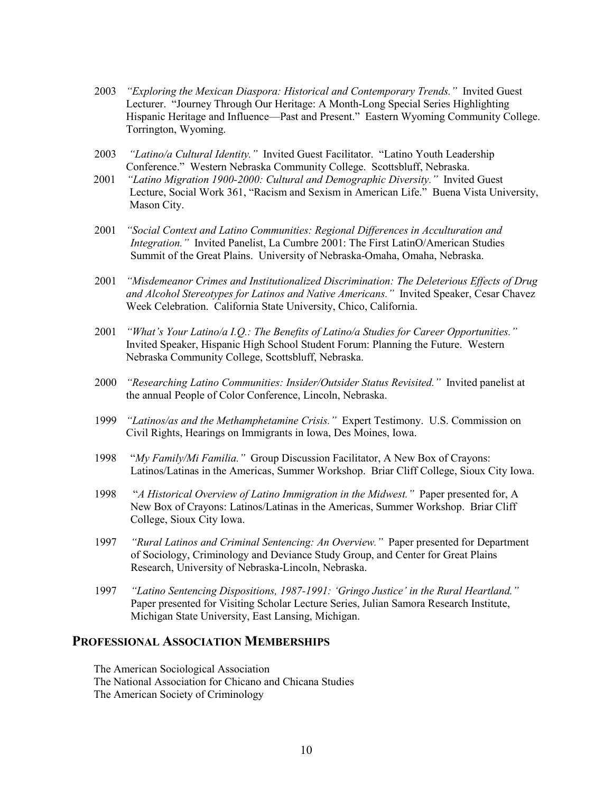- 2003 *"Exploring the Mexican Diaspora: Historical and Contemporary Trends."* Invited Guest Lecturer. "Journey Through Our Heritage: A Month-Long Special Series Highlighting Hispanic Heritage and Influence—Past and Present." Eastern Wyoming Community College. Torrington, Wyoming.
- 2003 *"Latino/a Cultural Identity."* Invited Guest Facilitator. "Latino Youth Leadership Conference." Western Nebraska Community College. Scottsbluff, Nebraska.
- 2001 *"Latino Migration 1900-2000: Cultural and Demographic Diversity."* Invited Guest Lecture, Social Work 361, "Racism and Sexism in American Life." Buena Vista University, Mason City.
- 2001 *"Social Context and Latino Communities: Regional Differences in Acculturation and Integration."* Invited Panelist, La Cumbre 2001: The First LatinO/American Studies Summit of the Great Plains. University of Nebraska-Omaha, Omaha, Nebraska.
- 2001 *"Misdemeanor Crimes and Institutionalized Discrimination: The Deleterious Effects of Drug and Alcohol Stereotypes for Latinos and Native Americans."* Invited Speaker, Cesar Chavez Week Celebration. California State University, Chico, California.
- 2001 *"What's Your Latino/a I.Q.: The Benefits of Latino/a Studies for Career Opportunities."* Invited Speaker, Hispanic High School Student Forum: Planning the Future. Western Nebraska Community College, Scottsbluff, Nebraska.
- 2000 *"Researching Latino Communities: Insider/Outsider Status Revisited."* Invited panelist at the annual People of Color Conference, Lincoln, Nebraska.
- 1999 *"Latinos/as and the Methamphetamine Crisis."* Expert Testimony. U.S. Commission on Civil Rights, Hearings on Immigrants in Iowa, Des Moines, Iowa.
- 1998 "*My Family/Mi Familia."* Group Discussion Facilitator, A New Box of Crayons: Latinos/Latinas in the Americas, Summer Workshop. Briar Cliff College, Sioux City Iowa.
- 1998 "*A Historical Overview of Latino Immigration in the Midwest."* Paper presented for, A New Box of Crayons: Latinos/Latinas in the Americas, Summer Workshop. Briar Cliff College, Sioux City Iowa.
- 1997 *"Rural Latinos and Criminal Sentencing: An Overview."* Paper presented for Department of Sociology, Criminology and Deviance Study Group, and Center for Great Plains Research, University of Nebraska-Lincoln, Nebraska.
- 1997 *"Latino Sentencing Dispositions, 1987-1991: 'Gringo Justice' in the Rural Heartland."* Paper presented for Visiting Scholar Lecture Series, Julian Samora Research Institute, Michigan State University, East Lansing, Michigan.

## **PROFESSIONAL ASSOCIATION MEMBERSHIPS**

The American Sociological Association The National Association for Chicano and Chicana Studies The American Society of Criminology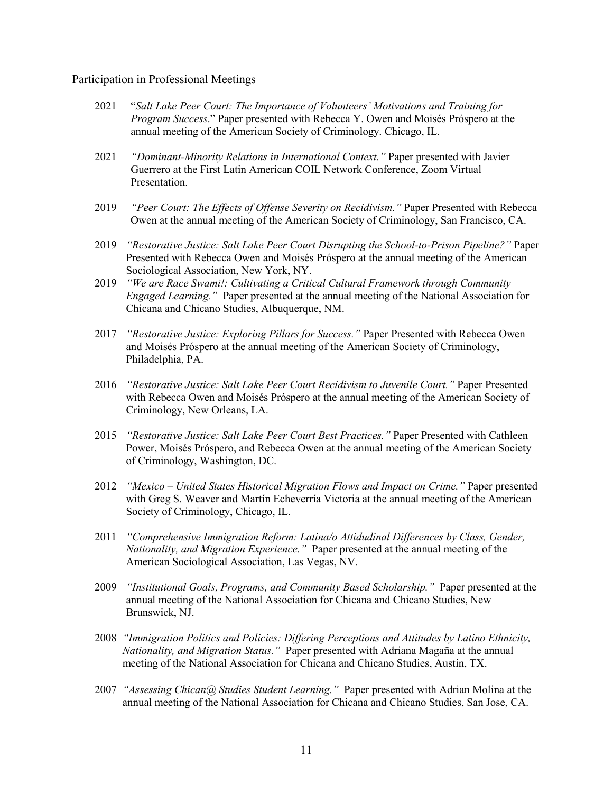#### Participation in Professional Meetings

- 2021 "*Salt Lake Peer Court: The Importance of Volunteers' Motivations and Training for Program Success*." Paper presented with Rebecca Y. Owen and Moisés Próspero at the annual meeting of the American Society of Criminology. Chicago, IL.
- 2021 *"Dominant-Minority Relations in International Context."* Paper presented with Javier Guerrero at the First Latin American COIL Network Conference, Zoom Virtual Presentation.
- 2019 *"Peer Court: The Effects of Offense Severity on Recidivism."* Paper Presented with Rebecca Owen at the annual meeting of the American Society of Criminology, San Francisco, CA.
- 2019 *"Restorative Justice: Salt Lake Peer Court Disrupting the School-to-Prison Pipeline?"* Paper Presented with Rebecca Owen and Moisés Próspero at the annual meeting of the American Sociological Association, New York, NY.
- 2019 *"We are Race Swami!: Cultivating a Critical Cultural Framework through Community Engaged Learning."* Paper presented at the annual meeting of the National Association for Chicana and Chicano Studies, Albuquerque, NM.
- 2017 *"Restorative Justice: Exploring Pillars for Success."* Paper Presented with Rebecca Owen and Moisés Próspero at the annual meeting of the American Society of Criminology, Philadelphia, PA.
- 2016 *"Restorative Justice: Salt Lake Peer Court Recidivism to Juvenile Court."* Paper Presented with Rebecca Owen and Moisés Próspero at the annual meeting of the American Society of Criminology, New Orleans, LA.
- 2015 *"Restorative Justice: Salt Lake Peer Court Best Practices."* Paper Presented with Cathleen Power, Moisés Próspero, and Rebecca Owen at the annual meeting of the American Society of Criminology, Washington, DC.
- 2012 *"Mexico United States Historical Migration Flows and Impact on Crime."* Paper presented with Greg S. Weaver and Martín Echeverría Victoria at the annual meeting of the American Society of Criminology, Chicago, IL.
- 2011 *"Comprehensive Immigration Reform: Latina/o Attidudinal Differences by Class, Gender, Nationality, and Migration Experience."* Paper presented at the annual meeting of the American Sociological Association, Las Vegas, NV.
- 2009 *"Institutional Goals, Programs, and Community Based Scholarship."* Paper presented at the annual meeting of the National Association for Chicana and Chicano Studies, New Brunswick, NJ.
- 2008 *"Immigration Politics and Policies: Differing Perceptions and Attitudes by Latino Ethnicity, Nationality, and Migration Status."* Paper presented with Adriana Magaña at the annual meeting of the National Association for Chicana and Chicano Studies, Austin, TX.
- 2007 *"Assessing Chican@ Studies Student Learning."* Paper presented with Adrian Molina at the annual meeting of the National Association for Chicana and Chicano Studies, San Jose, CA.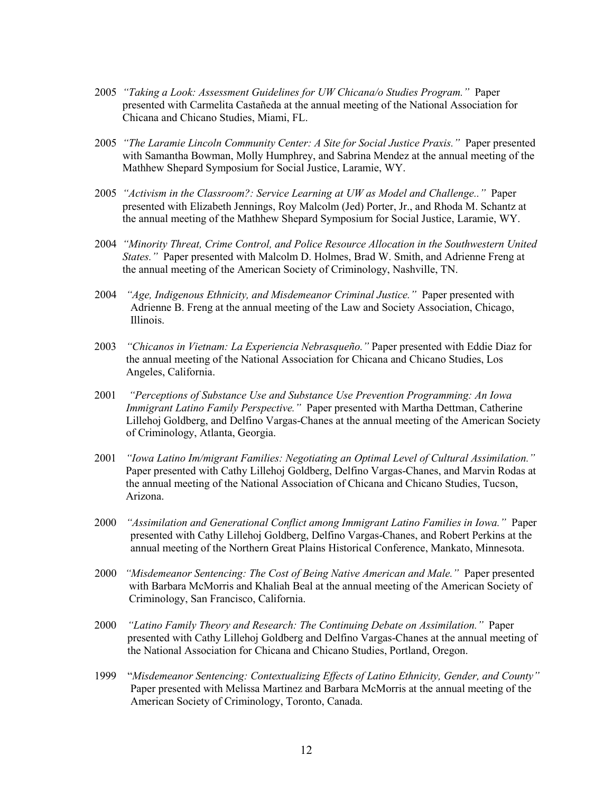- 2005 *"Taking a Look: Assessment Guidelines for UW Chicana/o Studies Program."* Paper presented with Carmelita Castañeda at the annual meeting of the National Association for Chicana and Chicano Studies, Miami, FL.
- 2005 *"The Laramie Lincoln Community Center: A Site for Social Justice Praxis."* Paper presented with Samantha Bowman, Molly Humphrey, and Sabrina Mendez at the annual meeting of the Mathhew Shepard Symposium for Social Justice, Laramie, WY.
- 2005 *"Activism in the Classroom?: Service Learning at UW as Model and Challenge.."* Paper presented with Elizabeth Jennings, Roy Malcolm (Jed) Porter, Jr., and Rhoda M. Schantz at the annual meeting of the Mathhew Shepard Symposium for Social Justice, Laramie, WY.
- 2004 *"Minority Threat, Crime Control, and Police Resource Allocation in the Southwestern United States."* Paper presented with Malcolm D. Holmes, Brad W. Smith, and Adrienne Freng at the annual meeting of the American Society of Criminology, Nashville, TN.
- 2004 *"Age, Indigenous Ethnicity, and Misdemeanor Criminal Justice."* Paper presented with Adrienne B. Freng at the annual meeting of the Law and Society Association, Chicago, Illinois.
- 2003 *"Chicanos in Vietnam: La Experiencia Nebrasqueño."* Paper presented with Eddie Diaz for the annual meeting of the National Association for Chicana and Chicano Studies, Los Angeles, California.
- 2001 *"Perceptions of Substance Use and Substance Use Prevention Programming: An Iowa Immigrant Latino Family Perspective."* Paper presented with Martha Dettman, Catherine Lillehoj Goldberg, and Delfino Vargas-Chanes at the annual meeting of the American Society of Criminology, Atlanta, Georgia.
- 2001 *"Iowa Latino Im/migrant Families: Negotiating an Optimal Level of Cultural Assimilation."* Paper presented with Cathy Lillehoj Goldberg, Delfino Vargas-Chanes, and Marvin Rodas at the annual meeting of the National Association of Chicana and Chicano Studies, Tucson, Arizona.
- 2000 *"Assimilation and Generational Conflict among Immigrant Latino Families in Iowa."* Paper presented with Cathy Lillehoj Goldberg, Delfino Vargas-Chanes, and Robert Perkins at the annual meeting of the Northern Great Plains Historical Conference, Mankato, Minnesota.
- 2000 *"Misdemeanor Sentencing: The Cost of Being Native American and Male."* Paper presented with Barbara McMorris and Khaliah Beal at the annual meeting of the American Society of Criminology, San Francisco, California.
- 2000 *"Latino Family Theory and Research: The Continuing Debate on Assimilation."* Paper presented with Cathy Lillehoj Goldberg and Delfino Vargas-Chanes at the annual meeting of the National Association for Chicana and Chicano Studies, Portland, Oregon.
- 1999 "*Misdemeanor Sentencing: Contextualizing Effects of Latino Ethnicity, Gender, and County"* Paper presented with Melissa Martinez and Barbara McMorris at the annual meeting of the American Society of Criminology, Toronto, Canada.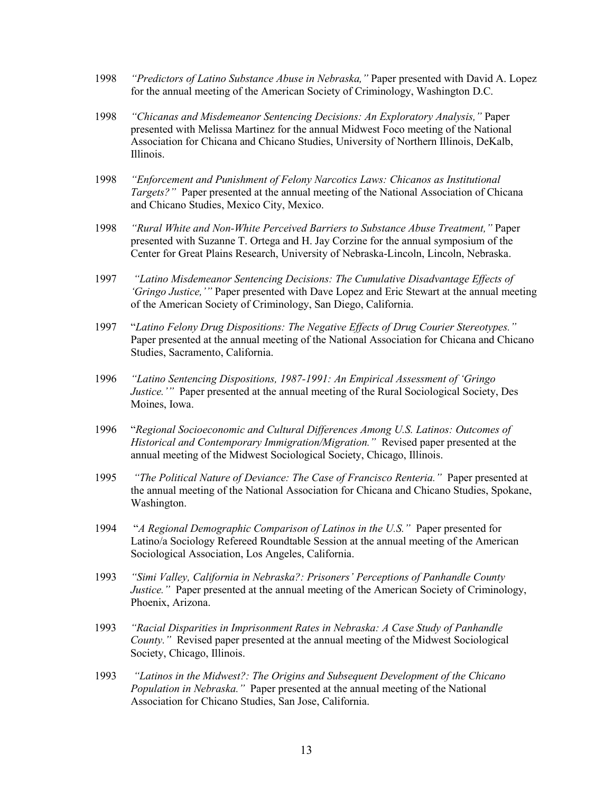- 1998 *"Predictors of Latino Substance Abuse in Nebraska,"* Paper presented with David A. Lopez for the annual meeting of the American Society of Criminology, Washington D.C.
- 1998 *"Chicanas and Misdemeanor Sentencing Decisions: An Exploratory Analysis,"* Paper presented with Melissa Martinez for the annual Midwest Foco meeting of the National Association for Chicana and Chicano Studies, University of Northern Illinois, DeKalb, Illinois.
- 1998 *"Enforcement and Punishment of Felony Narcotics Laws: Chicanos as Institutional Targets?"* Paper presented at the annual meeting of the National Association of Chicana and Chicano Studies, Mexico City, Mexico.
- 1998 *"Rural White and Non-White Perceived Barriers to Substance Abuse Treatment,"* Paper presented with Suzanne T. Ortega and H. Jay Corzine for the annual symposium of the Center for Great Plains Research, University of Nebraska-Lincoln, Lincoln, Nebraska.
- 1997 *"Latino Misdemeanor Sentencing Decisions: The Cumulative Disadvantage Effects of 'Gringo Justice,'"* Paper presented with Dave Lopez and Eric Stewart at the annual meeting of the American Society of Criminology, San Diego, California.
- 1997 "*Latino Felony Drug Dispositions: The Negative Effects of Drug Courier Stereotypes."* Paper presented at the annual meeting of the National Association for Chicana and Chicano Studies, Sacramento, California.
- 1996 *"Latino Sentencing Dispositions, 1987-1991: An Empirical Assessment of 'Gringo Justice.'"* Paper presented at the annual meeting of the Rural Sociological Society, Des Moines, Iowa.
- 1996 "*Regional Socioeconomic and Cultural Differences Among U.S. Latinos: Outcomes of Historical and Contemporary Immigration/Migration."* Revised paper presented at the annual meeting of the Midwest Sociological Society, Chicago, Illinois.
- 1995 *"The Political Nature of Deviance: The Case of Francisco Renteria."* Paper presented at the annual meeting of the National Association for Chicana and Chicano Studies, Spokane, Washington.
- 1994 "*A Regional Demographic Comparison of Latinos in the U.S."* Paper presented for Latino/a Sociology Refereed Roundtable Session at the annual meeting of the American Sociological Association, Los Angeles, California.
- 1993 *"Simi Valley, California in Nebraska?: Prisoners' Perceptions of Panhandle County Justice."* Paper presented at the annual meeting of the American Society of Criminology, Phoenix, Arizona.
- 1993 *"Racial Disparities in Imprisonment Rates in Nebraska: A Case Study of Panhandle County."* Revised paper presented at the annual meeting of the Midwest Sociological Society, Chicago, Illinois.
- 1993 *"Latinos in the Midwest?: The Origins and Subsequent Development of the Chicano Population in Nebraska."* Paper presented at the annual meeting of the National Association for Chicano Studies, San Jose, California.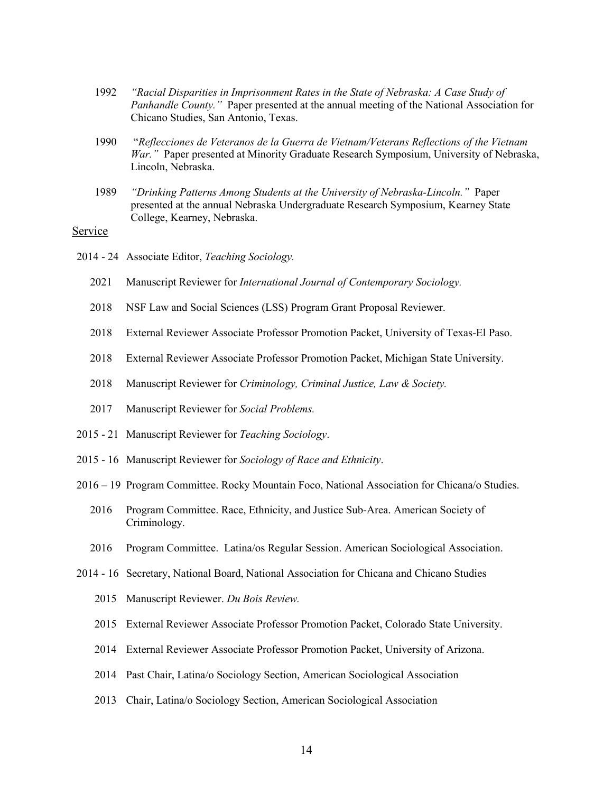- 1992 *"Racial Disparities in Imprisonment Rates in the State of Nebraska: A Case Study of Panhandle County."* Paper presented at the annual meeting of the National Association for Chicano Studies, San Antonio, Texas.
- 1990 "*Reflecciones de Veteranos de la Guerra de Vietnam/Veterans Reflections of the Vietnam War."* Paper presented at Minority Graduate Research Symposium, University of Nebraska, Lincoln, Nebraska.
- 1989 *"Drinking Patterns Among Students at the University of Nebraska-Lincoln."* Paper presented at the annual Nebraska Undergraduate Research Symposium, Kearney State College, Kearney, Nebraska.

### Service

- 2014 24 Associate Editor, *Teaching Sociology.* 
	- 2021 Manuscript Reviewer for *International Journal of Contemporary Sociology.*
	- 2018 NSF Law and Social Sciences (LSS) Program Grant Proposal Reviewer.
	- 2018 External Reviewer Associate Professor Promotion Packet, University of Texas-El Paso.
	- 2018 External Reviewer Associate Professor Promotion Packet, Michigan State University.
	- 2018 Manuscript Reviewer for *Criminology, Criminal Justice, Law & Society.*
	- 2017 Manuscript Reviewer for *Social Problems.*
- 2015 21 Manuscript Reviewer for *Teaching Sociology*.
- 2015 16 Manuscript Reviewer for *Sociology of Race and Ethnicity*.
- 2016 19 Program Committee. Rocky Mountain Foco, National Association for Chicana/o Studies.
	- 2016 Program Committee. Race, Ethnicity, and Justice Sub-Area. American Society of Criminology.
	- 2016 Program Committee. Latina/os Regular Session. American Sociological Association.
- 2014 16 Secretary, National Board, National Association for Chicana and Chicano Studies
	- 2015 Manuscript Reviewer. *Du Bois Review.*
	- 2015 External Reviewer Associate Professor Promotion Packet, Colorado State University.
	- 2014 External Reviewer Associate Professor Promotion Packet, University of Arizona.
	- 2014 Past Chair, Latina/o Sociology Section, American Sociological Association
	- 2013 Chair, Latina/o Sociology Section, American Sociological Association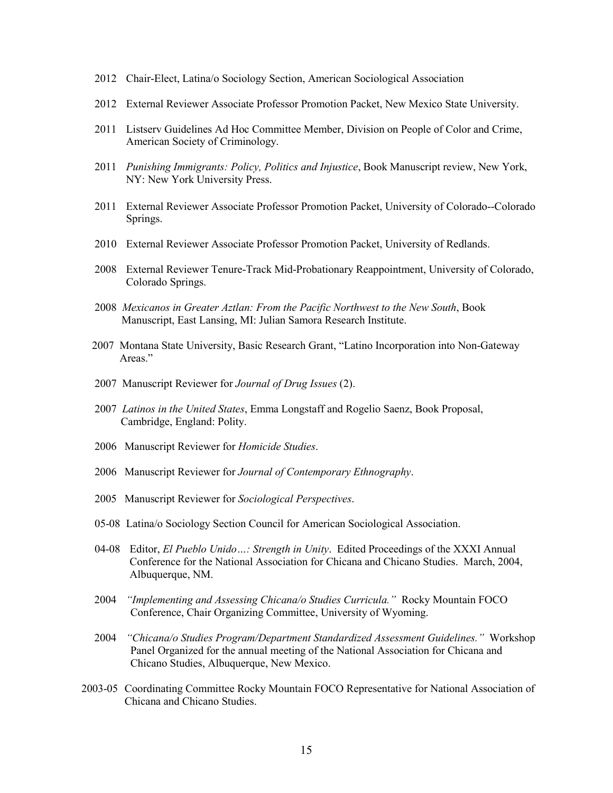- 2012 Chair-Elect, Latina/o Sociology Section, American Sociological Association
- 2012 External Reviewer Associate Professor Promotion Packet, New Mexico State University.
- 2011 Listserv Guidelines Ad Hoc Committee Member, Division on People of Color and Crime, American Society of Criminology.
- 2011 *Punishing Immigrants: Policy, Politics and Injustice*, Book Manuscript review, New York, NY: New York University Press.
- 2011 External Reviewer Associate Professor Promotion Packet, University of Colorado--Colorado Springs.
- 2010 External Reviewer Associate Professor Promotion Packet, University of Redlands.
- 2008 External Reviewer Tenure-Track Mid-Probationary Reappointment, University of Colorado, Colorado Springs.
- 2008 *Mexicanos in Greater Aztlan: From the Pacific Northwest to the New South*, Book Manuscript, East Lansing, MI: Julian Samora Research Institute.
- 2007 Montana State University, Basic Research Grant, "Latino Incorporation into Non-Gateway Areas."
- 2007 Manuscript Reviewer for *Journal of Drug Issues* (2).
- 2007 *Latinos in the United States*, Emma Longstaff and Rogelio Saenz, Book Proposal, Cambridge, England: Polity.
- 2006 Manuscript Reviewer for *Homicide Studies*.
- 2006 Manuscript Reviewer for *Journal of Contemporary Ethnography*.
- 2005 Manuscript Reviewer for *Sociological Perspectives*.
- 05-08 Latina/o Sociology Section Council for American Sociological Association.
- 04-08 Editor, *El Pueblo Unido…: Strength in Unity*. Edited Proceedings of the XXXI Annual Conference for the National Association for Chicana and Chicano Studies. March, 2004, Albuquerque, NM.
- 2004 *"Implementing and Assessing Chicana/o Studies Curricula."* Rocky Mountain FOCO Conference, Chair Organizing Committee, University of Wyoming.
- 2004 *"Chicana/o Studies Program/Department Standardized Assessment Guidelines."* Workshop Panel Organized for the annual meeting of the National Association for Chicana and Chicano Studies, Albuquerque, New Mexico.
- 2003-05 Coordinating Committee Rocky Mountain FOCO Representative for National Association of Chicana and Chicano Studies.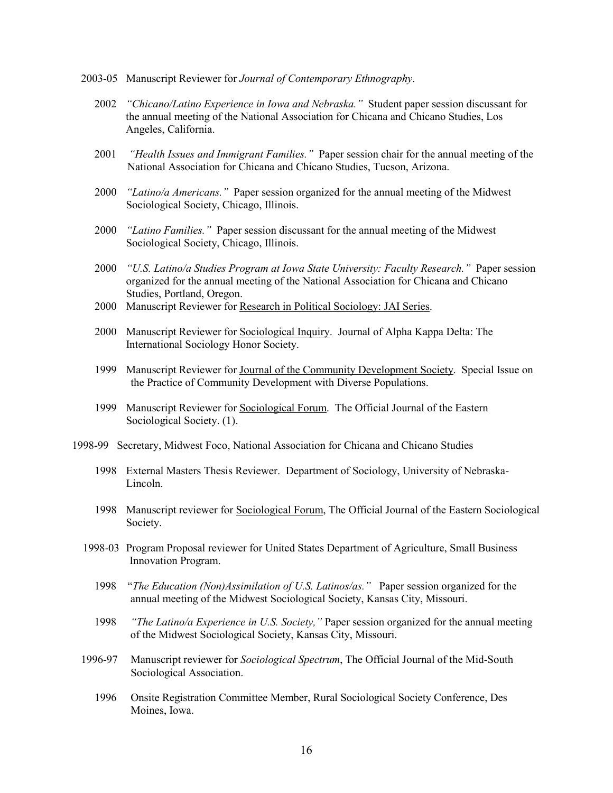- 2003-05 Manuscript Reviewer for *Journal of Contemporary Ethnography*.
	- 2002 *"Chicano/Latino Experience in Iowa and Nebraska."* Student paper session discussant for the annual meeting of the National Association for Chicana and Chicano Studies, Los Angeles, California.
	- 2001 *"Health Issues and Immigrant Families."* Paper session chair for the annual meeting of the National Association for Chicana and Chicano Studies, Tucson, Arizona.
	- 2000 *"Latino/a Americans."* Paper session organized for the annual meeting of the Midwest Sociological Society, Chicago, Illinois.
	- 2000 *"Latino Families."* Paper session discussant for the annual meeting of the Midwest Sociological Society, Chicago, Illinois.
	- 2000 *"U.S. Latino/a Studies Program at Iowa State University: Faculty Research."* Paper session organized for the annual meeting of the National Association for Chicana and Chicano Studies, Portland, Oregon.
	- 2000 Manuscript Reviewer for Research in Political Sociology: JAI Series.
	- 2000 Manuscript Reviewer for Sociological Inquiry. Journal of Alpha Kappa Delta: The International Sociology Honor Society.
	- 1999 Manuscript Reviewer for Journal of the Community Development Society. Special Issue on the Practice of Community Development with Diverse Populations.
	- 1999 Manuscript Reviewer for Sociological Forum. The Official Journal of the Eastern Sociological Society. (1).
- 1998-99 Secretary, Midwest Foco, National Association for Chicana and Chicano Studies
	- 1998 External Masters Thesis Reviewer. Department of Sociology, University of Nebraska-Lincoln.
	- 1998 Manuscript reviewer for Sociological Forum, The Official Journal of the Eastern Sociological Society.
	- 1998-03 Program Proposal reviewer for United States Department of Agriculture, Small Business Innovation Program.
		- 1998 "*The Education (Non)Assimilation of U.S. Latinos/as."* Paper session organized for the annual meeting of the Midwest Sociological Society, Kansas City, Missouri.
		- 1998 *"The Latino/a Experience in U.S. Society,"* Paper session organized for the annual meeting of the Midwest Sociological Society, Kansas City, Missouri.
	- 1996-97 Manuscript reviewer for *Sociological Spectrum*, The Official Journal of the Mid-South Sociological Association.
		- 1996 Onsite Registration Committee Member, Rural Sociological Society Conference, Des Moines, Iowa.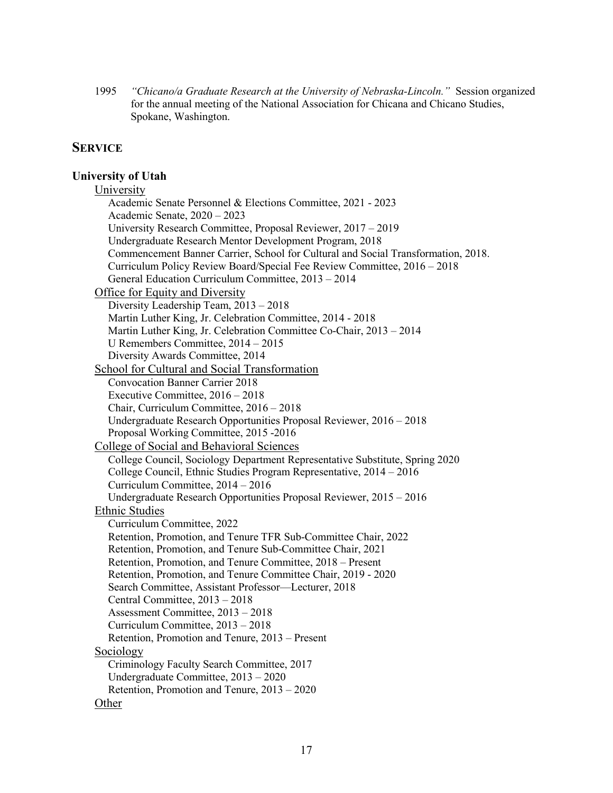1995 *"Chicano/a Graduate Research at the University of Nebraska-Lincoln."* Session organized for the annual meeting of the National Association for Chicana and Chicano Studies, Spokane, Washington.

## **SERVICE**

## **University of Utah**

| University                                                                        |
|-----------------------------------------------------------------------------------|
| Academic Senate Personnel & Elections Committee, 2021 - 2023                      |
| Academic Senate, $2020 - 2023$                                                    |
| University Research Committee, Proposal Reviewer, 2017 – 2019                     |
| Undergraduate Research Mentor Development Program, 2018                           |
| Commencement Banner Carrier, School for Cultural and Social Transformation, 2018. |
| Curriculum Policy Review Board/Special Fee Review Committee, 2016 - 2018          |
| General Education Curriculum Committee, 2013 - 2014                               |
| Office for Equity and Diversity                                                   |
| Diversity Leadership Team, 2013 - 2018                                            |
| Martin Luther King, Jr. Celebration Committee, 2014 - 2018                        |
| Martin Luther King, Jr. Celebration Committee Co-Chair, 2013 - 2014               |
| U Remembers Committee, $2014 - 2015$                                              |
| Diversity Awards Committee, 2014                                                  |
| School for Cultural and Social Transformation                                     |
| <b>Convocation Banner Carrier 2018</b>                                            |
| Executive Committee, $2016 - 2018$                                                |
| Chair, Curriculum Committee, 2016 - 2018                                          |
| Undergraduate Research Opportunities Proposal Reviewer, 2016 - 2018               |
| Proposal Working Committee, 2015 -2016                                            |
| College of Social and Behavioral Sciences                                         |
| College Council, Sociology Department Representative Substitute, Spring 2020      |
| College Council, Ethnic Studies Program Representative, 2014 - 2016               |
| Curriculum Committee, $2014 - 2016$                                               |
| Undergraduate Research Opportunities Proposal Reviewer, 2015 - 2016               |
| <b>Ethnic Studies</b>                                                             |
| Curriculum Committee, 2022                                                        |
| Retention, Promotion, and Tenure TFR Sub-Committee Chair, 2022                    |
| Retention, Promotion, and Tenure Sub-Committee Chair, 2021                        |
| Retention, Promotion, and Tenure Committee, 2018 – Present                        |
| Retention, Promotion, and Tenure Committee Chair, 2019 - 2020                     |
| Search Committee, Assistant Professor-Lecturer, 2018                              |
| Central Committee, 2013 - 2018                                                    |
| Assessment Committee, 2013 - 2018                                                 |
| Curriculum Committee, 2013 - 2018                                                 |
| Retention, Promotion and Tenure, 2013 – Present                                   |
| Sociology                                                                         |
| Criminology Faculty Search Committee, 2017                                        |
| Undergraduate Committee, 2013 - 2020                                              |
| Retention, Promotion and Tenure, 2013 - 2020                                      |
| Other                                                                             |
|                                                                                   |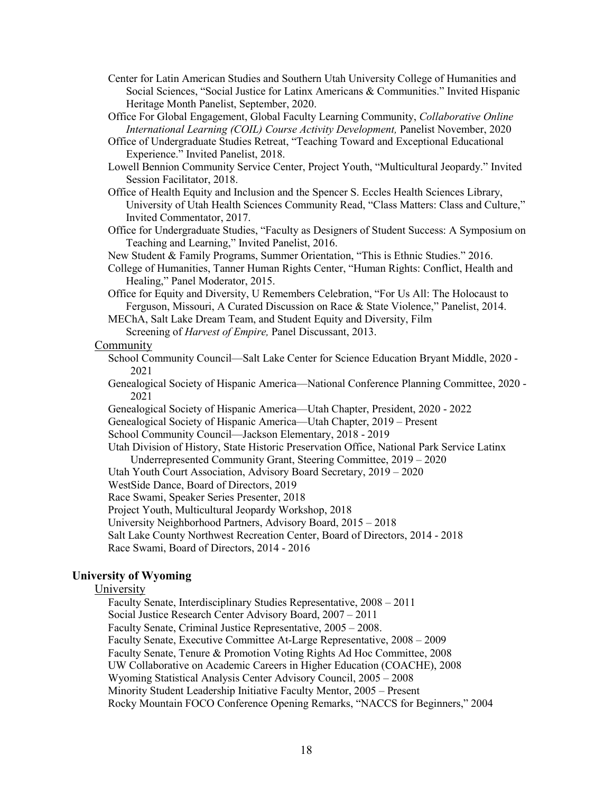- Center for Latin American Studies and Southern Utah University College of Humanities and Social Sciences, "Social Justice for Latinx Americans & Communities." Invited Hispanic Heritage Month Panelist, September, 2020.
- Office For Global Engagement, Global Faculty Learning Community, *Collaborative Online International Learning (COIL) Course Activity Development,* Panelist November, 2020
- Office of Undergraduate Studies Retreat, "Teaching Toward and Exceptional Educational Experience." Invited Panelist, 2018.
- Lowell Bennion Community Service Center, Project Youth, "Multicultural Jeopardy." Invited Session Facilitator, 2018.
- Office of Health Equity and Inclusion and the Spencer S. Eccles Health Sciences Library, University of Utah Health Sciences Community Read, "Class Matters: Class and Culture," Invited Commentator, 2017.
- Office for Undergraduate Studies, "Faculty as Designers of Student Success: A Symposium on Teaching and Learning," Invited Panelist, 2016.

New Student & Family Programs, Summer Orientation, "This is Ethnic Studies." 2016.

- College of Humanities, Tanner Human Rights Center, "Human Rights: Conflict, Health and Healing," Panel Moderator, 2015.
- Office for Equity and Diversity, U Remembers Celebration, "For Us All: The Holocaust to Ferguson, Missouri, A Curated Discussion on Race & State Violence," Panelist, 2014.
- MEChA, Salt Lake Dream Team, and Student Equity and Diversity, Film
	- Screening of *Harvest of Empire,* Panel Discussant, 2013.

### Community

- School Community Council—Salt Lake Center for Science Education Bryant Middle, 2020 2021
- Genealogical Society of Hispanic America—National Conference Planning Committee, 2020 2021
- Genealogical Society of Hispanic America—Utah Chapter, President, 2020 2022
- Genealogical Society of Hispanic America—Utah Chapter, 2019 Present

School Community Council—Jackson Elementary, 2018 - 2019

Utah Division of History, State Historic Preservation Office, National Park Service Latinx Underrepresented Community Grant, Steering Committee, 2019 – 2020

- Utah Youth Court Association, Advisory Board Secretary, 2019 2020
- WestSide Dance, Board of Directors, 2019

Race Swami, Speaker Series Presenter, 2018

Project Youth, Multicultural Jeopardy Workshop, 2018

University Neighborhood Partners, Advisory Board, 2015 – 2018

Salt Lake County Northwest Recreation Center, Board of Directors, 2014 - 2018

Race Swami, Board of Directors, 2014 - 2016

## **University of Wyoming**

#### University

 Faculty Senate, Interdisciplinary Studies Representative, 2008 – 2011 Social Justice Research Center Advisory Board, 2007 – 2011 Faculty Senate, Criminal Justice Representative, 2005 – 2008. Faculty Senate, Executive Committee At-Large Representative, 2008 – 2009 Faculty Senate, Tenure & Promotion Voting Rights Ad Hoc Committee, 2008 UW Collaborative on Academic Careers in Higher Education (COACHE), 2008 Wyoming Statistical Analysis Center Advisory Council, 2005 – 2008 Minority Student Leadership Initiative Faculty Mentor, 2005 – Present Rocky Mountain FOCO Conference Opening Remarks, "NACCS for Beginners," 2004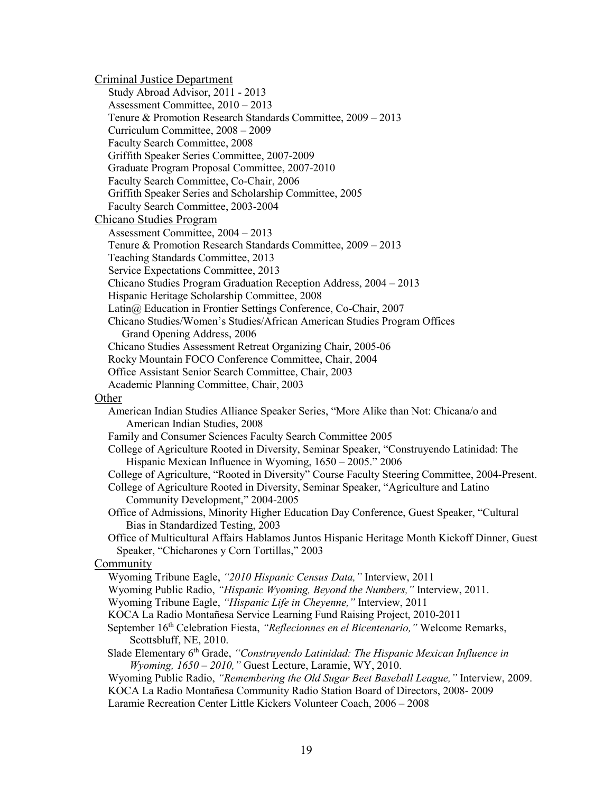Criminal Justice Department Study Abroad Advisor, 2011 - 2013 Assessment Committee, 2010 – 2013 Tenure & Promotion Research Standards Committee, 2009 – 2013 Curriculum Committee, 2008 – 2009 Faculty Search Committee, 2008 Griffith Speaker Series Committee, 2007-2009 Graduate Program Proposal Committee, 2007-2010 Faculty Search Committee, Co-Chair, 2006 Griffith Speaker Series and Scholarship Committee, 2005 Faculty Search Committee, 2003-2004 Chicano Studies Program Assessment Committee, 2004 – 2013 Tenure & Promotion Research Standards Committee, 2009 – 2013 Teaching Standards Committee, 2013 Service Expectations Committee, 2013 Chicano Studies Program Graduation Reception Address, 2004 – 2013 Hispanic Heritage Scholarship Committee, 2008 Latin@ Education in Frontier Settings Conference, Co-Chair, 2007 Chicano Studies/Women's Studies/African American Studies Program Offices Grand Opening Address, 2006 Chicano Studies Assessment Retreat Organizing Chair, 2005-06 Rocky Mountain FOCO Conference Committee, Chair, 2004 Office Assistant Senior Search Committee, Chair, 2003 Academic Planning Committee, Chair, 2003 Other American Indian Studies Alliance Speaker Series, "More Alike than Not: Chicana/o and American Indian Studies, 2008 Family and Consumer Sciences Faculty Search Committee 2005 College of Agriculture Rooted in Diversity, Seminar Speaker, "Construyendo Latinidad: The Hispanic Mexican Influence in Wyoming, 1650 – 2005." 2006 College of Agriculture, "Rooted in Diversity" Course Faculty Steering Committee, 2004-Present. College of Agriculture Rooted in Diversity, Seminar Speaker, "Agriculture and Latino Community Development," 2004-2005 Office of Admissions, Minority Higher Education Day Conference, Guest Speaker, "Cultural Bias in Standardized Testing, 2003 Office of Multicultural Affairs Hablamos Juntos Hispanic Heritage Month Kickoff Dinner, Guest Speaker, "Chicharones y Corn Tortillas," 2003 Community Wyoming Tribune Eagle, *"2010 Hispanic Census Data,"* Interview, 2011 Wyoming Public Radio, *"Hispanic Wyoming, Beyond the Numbers,"* Interview, 2011. Wyoming Tribune Eagle, *"Hispanic Life in Cheyenne,"* Interview, 2011 KOCA La Radio Montañesa Service Learning Fund Raising Project, 2010-2011 September 16th Celebration Fiesta, *"Reflecionnes en el Bicentenario,"* Welcome Remarks, Scottsbluff, NE, 2010. Slade Elementary 6th Grade, *"Construyendo Latinidad: The Hispanic Mexican Influence in Wyoming, 1650 – 2010,"* Guest Lecture, Laramie, WY, 2010. Wyoming Public Radio, *"Remembering the Old Sugar Beet Baseball League,"* Interview, 2009. KOCA La Radio Montañesa Community Radio Station Board of Directors, 2008- 2009 Laramie Recreation Center Little Kickers Volunteer Coach, 2006 – 2008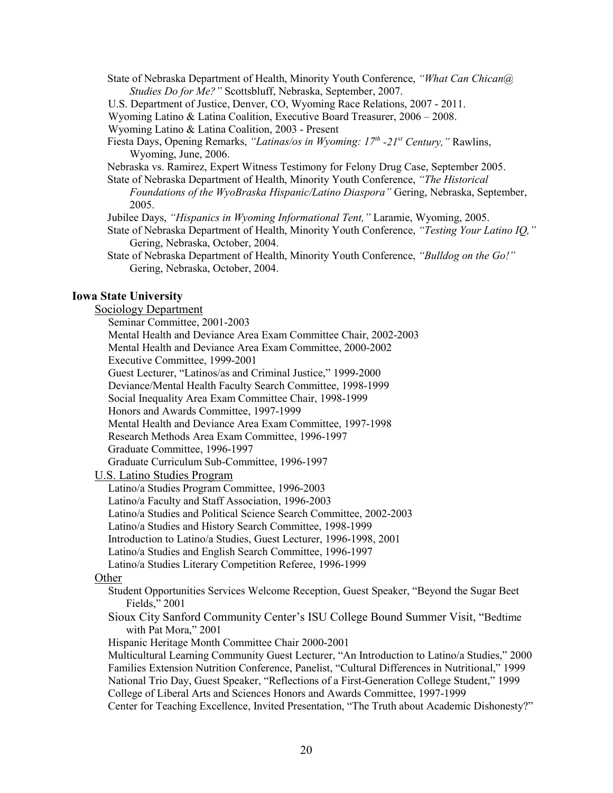State of Nebraska Department of Health, Minority Youth Conference, *"What Can Chican@ Studies Do for Me?"* Scottsbluff, Nebraska, September, 2007.

U.S. Department of Justice, Denver, CO, Wyoming Race Relations, 2007 - 2011.

Wyoming Latino & Latina Coalition, Executive Board Treasurer, 2006 – 2008.

Wyoming Latino & Latina Coalition, 2003 - Present

- Fiesta Days, Opening Remarks, *"Latinas/os in Wyoming: 17th -21st Century,"* Rawlins, Wyoming, June, 2006.
- Nebraska vs. Ramirez, Expert Witness Testimony for Felony Drug Case, September 2005.

State of Nebraska Department of Health, Minority Youth Conference, *"The Historical* 

*Foundations of the WyoBraska Hispanic/Latino Diaspora"* Gering, Nebraska, September, 2005.

Jubilee Days, *"Hispanics in Wyoming Informational Tent,"* Laramie, Wyoming, 2005.

- State of Nebraska Department of Health, Minority Youth Conference, *"Testing Your Latino IQ,"* Gering, Nebraska, October, 2004.
- State of Nebraska Department of Health, Minority Youth Conference, *"Bulldog on the Go!"* Gering, Nebraska, October, 2004.

### **Iowa State University**

#### Sociology Department

Seminar Committee, 2001-2003

 Mental Health and Deviance Area Exam Committee Chair, 2002-2003 Mental Health and Deviance Area Exam Committee, 2000-2002 Executive Committee, 1999-2001 Guest Lecturer, "Latinos/as and Criminal Justice," 1999-2000

Deviance/Mental Health Faculty Search Committee, 1998-1999

Social Inequality Area Exam Committee Chair, 1998-1999

Honors and Awards Committee, 1997-1999

Mental Health and Deviance Area Exam Committee, 1997-1998

Research Methods Area Exam Committee, 1996-1997

Graduate Committee, 1996-1997

Graduate Curriculum Sub-Committee, 1996-1997

### U.S. Latino Studies Program

 Latino/a Studies Program Committee, 1996-2003 Latino/a Faculty and Staff Association, 1996-2003

Latino/a Studies and Political Science Search Committee, 2002-2003

Latino/a Studies and History Search Committee, 1998-1999

Introduction to Latino/a Studies, Guest Lecturer, 1996-1998, 2001

Latino/a Studies and English Search Committee, 1996-1997

Latino/a Studies Literary Competition Referee, 1996-1999

## **Other**

Student Opportunities Services Welcome Reception, Guest Speaker, "Beyond the Sugar Beet Fields," 2001

 Sioux City Sanford Community Center's ISU College Bound Summer Visit, "Bedtime with Pat Mora," 2001

Hispanic Heritage Month Committee Chair 2000-2001

 Multicultural Learning Community Guest Lecturer, "An Introduction to Latino/a Studies," 2000 Families Extension Nutrition Conference, Panelist, "Cultural Differences in Nutritional," 1999 National Trio Day, Guest Speaker, "Reflections of a First-Generation College Student," 1999 College of Liberal Arts and Sciences Honors and Awards Committee, 1997-1999 Center for Teaching Excellence, Invited Presentation, "The Truth about Academic Dishonesty?"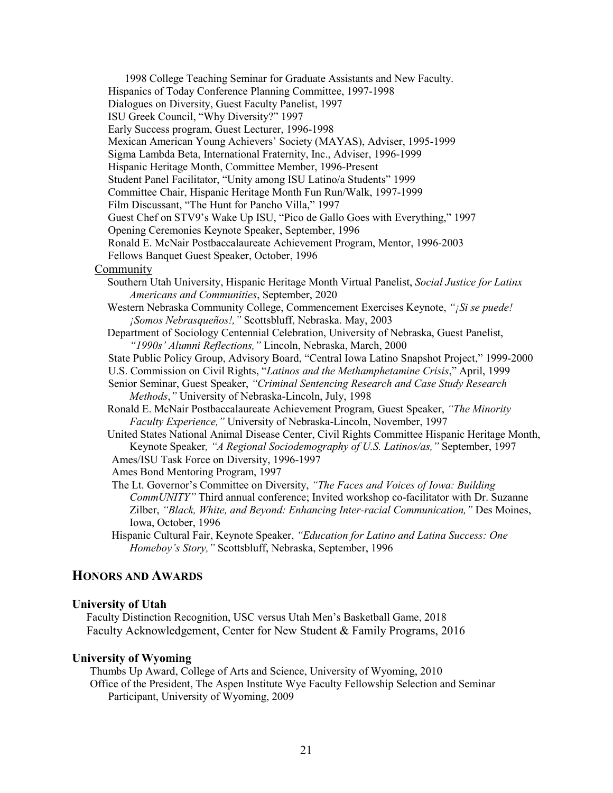1998 College Teaching Seminar for Graduate Assistants and New Faculty. Hispanics of Today Conference Planning Committee, 1997-1998 Dialogues on Diversity, Guest Faculty Panelist, 1997 ISU Greek Council, "Why Diversity?" 1997 Early Success program, Guest Lecturer, 1996-1998 Mexican American Young Achievers' Society (MAYAS), Adviser, 1995-1999 Sigma Lambda Beta, International Fraternity, Inc., Adviser, 1996-1999 Hispanic Heritage Month, Committee Member, 1996-Present Student Panel Facilitator, "Unity among ISU Latino/a Students" 1999 Committee Chair, Hispanic Heritage Month Fun Run/Walk, 1997-1999 Film Discussant, "The Hunt for Pancho Villa," 1997 Guest Chef on STV9's Wake Up ISU, "Pico de Gallo Goes with Everything," 1997 Opening Ceremonies Keynote Speaker, September, 1996 Ronald E. McNair Postbaccalaureate Achievement Program, Mentor, 1996-2003 Fellows Banquet Guest Speaker, October, 1996 Community Southern Utah University, Hispanic Heritage Month Virtual Panelist, *Social Justice for Latinx Americans and Communities*, September, 2020 Western Nebraska Community College, Commencement Exercises Keynote, *"¡Si se puede! ¡Somos Nebrasqueños!,"* Scottsbluff, Nebraska. May, 2003 Department of Sociology Centennial Celebration, University of Nebraska, Guest Panelist, *"1990s' Alumni Reflections,"* Lincoln, Nebraska, March, 2000 State Public Policy Group, Advisory Board, "Central Iowa Latino Snapshot Project," 1999-2000 U.S. Commission on Civil Rights, "*Latinos and the Methamphetamine Crisis*," April, 1999 Senior Seminar, Guest Speaker, *"Criminal Sentencing Research and Case Study Research Methods*,*"* University of Nebraska-Lincoln, July, 1998 Ronald E. McNair Postbaccalaureate Achievement Program, Guest Speaker, *"The Minority Faculty Experience,"* University of Nebraska-Lincoln, November, 1997 United States National Animal Disease Center, Civil Rights Committee Hispanic Heritage Month, Keynote Speaker*, "A Regional Sociodemography of U.S. Latinos/as,"* September, 1997 Ames/ISU Task Force on Diversity, 1996-1997 Ames Bond Mentoring Program, 1997 The Lt. Governor's Committee on Diversity, *"The Faces and Voices of Iowa: Building CommUNITY"* Third annual conference; Invited workshop co-facilitator with Dr. Suzanne Zilber, *"Black, White, and Beyond: Enhancing Inter-racial Communication,"* Des Moines, Iowa, October, 1996 Hispanic Cultural Fair, Keynote Speaker, *"Education for Latino and Latina Success: One Homeboy's Story,"* Scottsbluff, Nebraska, September, 1996

## **HONORS AND AWARDS**

#### **University of Utah**

Faculty Distinction Recognition, USC versus Utah Men's Basketball Game, 2018 Faculty Acknowledgement, Center for New Student & Family Programs, 2016

#### **University of Wyoming**

Thumbs Up Award, College of Arts and Science, University of Wyoming, 2010 Office of the President, The Aspen Institute Wye Faculty Fellowship Selection and Seminar Participant, University of Wyoming, 2009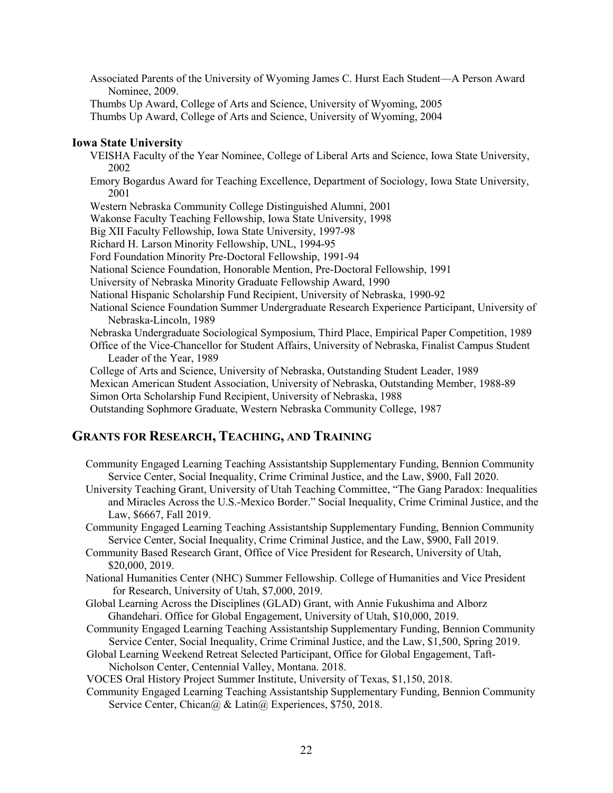Associated Parents of the University of Wyoming James C. Hurst Each Student—A Person Award Nominee, 2009.

Thumbs Up Award, College of Arts and Science, University of Wyoming, 2005 Thumbs Up Award, College of Arts and Science, University of Wyoming, 2004

### **Iowa State University**

VEISHA Faculty of the Year Nominee, College of Liberal Arts and Science, Iowa State University, 2002

Emory Bogardus Award for Teaching Excellence, Department of Sociology, Iowa State University, 2001

Western Nebraska Community College Distinguished Alumni, 2001

Wakonse Faculty Teaching Fellowship, Iowa State University, 1998

Big XII Faculty Fellowship, Iowa State University, 1997-98

Richard H. Larson Minority Fellowship, UNL, 1994-95

Ford Foundation Minority Pre-Doctoral Fellowship, 1991-94

National Science Foundation, Honorable Mention, Pre-Doctoral Fellowship, 1991

University of Nebraska Minority Graduate Fellowship Award, 1990

National Hispanic Scholarship Fund Recipient, University of Nebraska, 1990-92

National Science Foundation Summer Undergraduate Research Experience Participant, University of Nebraska-Lincoln, 1989

Nebraska Undergraduate Sociological Symposium, Third Place, Empirical Paper Competition, 1989

Office of the Vice-Chancellor for Student Affairs, University of Nebraska, Finalist Campus Student Leader of the Year, 1989

College of Arts and Science, University of Nebraska, Outstanding Student Leader, 1989

Mexican American Student Association, University of Nebraska, Outstanding Member, 1988-89

Simon Orta Scholarship Fund Recipient, University of Nebraska, 1988

Outstanding Sophmore Graduate, Western Nebraska Community College, 1987

## **GRANTS FOR RESEARCH, TEACHING, AND TRAINING**

- Community Engaged Learning Teaching Assistantship Supplementary Funding, Bennion Community Service Center, Social Inequality, Crime Criminal Justice, and the Law, \$900, Fall 2020.
- University Teaching Grant, University of Utah Teaching Committee, "The Gang Paradox: Inequalities and Miracles Across the U.S.-Mexico Border." Social Inequality, Crime Criminal Justice, and the Law, \$6667, Fall 2019.

Community Engaged Learning Teaching Assistantship Supplementary Funding, Bennion Community Service Center, Social Inequality, Crime Criminal Justice, and the Law, \$900, Fall 2019.

Community Based Research Grant, Office of Vice President for Research, University of Utah, \$20,000, 2019.

National Humanities Center (NHC) Summer Fellowship. College of Humanities and Vice President for Research, University of Utah, \$7,000, 2019.

- Global Learning Across the Disciplines (GLAD) Grant, with Annie Fukushima and Alborz Ghandehari. Office for Global Engagement, University of Utah, \$10,000, 2019.
- Community Engaged Learning Teaching Assistantship Supplementary Funding, Bennion Community Service Center, Social Inequality, Crime Criminal Justice, and the Law, \$1,500, Spring 2019.
- Global Learning Weekend Retreat Selected Participant, Office for Global Engagement, Taft-Nicholson Center, Centennial Valley, Montana. 2018.

VOCES Oral History Project Summer Institute, University of Texas, \$1,150, 2018.

Community Engaged Learning Teaching Assistantship Supplementary Funding, Bennion Community Service Center, Chican@ & Latin@ Experiences, \$750, 2018.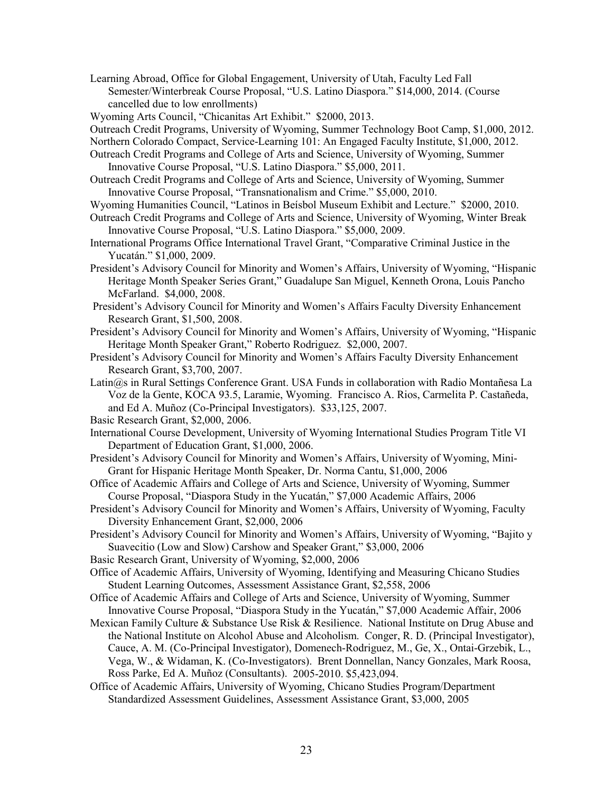Learning Abroad, Office for Global Engagement, University of Utah, Faculty Led Fall Semester/Winterbreak Course Proposal, "U.S. Latino Diaspora." \$14,000, 2014. (Course cancelled due to low enrollments)

Wyoming Arts Council, "Chicanitas Art Exhibit." \$2000, 2013.

Outreach Credit Programs, University of Wyoming, Summer Technology Boot Camp, \$1,000, 2012.

- Northern Colorado Compact, Service-Learning 101: An Engaged Faculty Institute, \$1,000, 2012.
- Outreach Credit Programs and College of Arts and Science, University of Wyoming, Summer Innovative Course Proposal, "U.S. Latino Diaspora." \$5,000, 2011.
- Outreach Credit Programs and College of Arts and Science, University of Wyoming, Summer Innovative Course Proposal, "Transnationalism and Crime." \$5,000, 2010.
- Wyoming Humanities Council, "Latinos in Beísbol Museum Exhibit and Lecture." \$2000, 2010.
- Outreach Credit Programs and College of Arts and Science, University of Wyoming, Winter Break Innovative Course Proposal, "U.S. Latino Diaspora." \$5,000, 2009.
- International Programs Office International Travel Grant, "Comparative Criminal Justice in the Yucatán." \$1,000, 2009.
- President's Advisory Council for Minority and Women's Affairs, University of Wyoming, "Hispanic Heritage Month Speaker Series Grant," Guadalupe San Miguel, Kenneth Orona, Louis Pancho McFarland. \$4,000, 2008.
- President's Advisory Council for Minority and Women's Affairs Faculty Diversity Enhancement Research Grant, \$1,500, 2008.
- President's Advisory Council for Minority and Women's Affairs, University of Wyoming, "Hispanic Heritage Month Speaker Grant," Roberto Rodriguez. \$2,000, 2007.
- President's Advisory Council for Minority and Women's Affairs Faculty Diversity Enhancement Research Grant, \$3,700, 2007.
- Latin@s in Rural Settings Conference Grant. USA Funds in collaboration with Radio Montañesa La Voz de la Gente, KOCA 93.5, Laramie, Wyoming. Francisco A. Rios, Carmelita P. Castañeda, and Ed A. Muñoz (Co-Principal Investigators). \$33,125, 2007.
- Basic Research Grant, \$2,000, 2006.
- International Course Development, University of Wyoming International Studies Program Title VI Department of Education Grant, \$1,000, 2006.
- President's Advisory Council for Minority and Women's Affairs, University of Wyoming, Mini-Grant for Hispanic Heritage Month Speaker, Dr. Norma Cantu, \$1,000, 2006
- Office of Academic Affairs and College of Arts and Science, University of Wyoming, Summer Course Proposal, "Diaspora Study in the Yucatán," \$7,000 Academic Affairs, 2006
- President's Advisory Council for Minority and Women's Affairs, University of Wyoming, Faculty Diversity Enhancement Grant, \$2,000, 2006
- President's Advisory Council for Minority and Women's Affairs, University of Wyoming, "Bajito y Suavecitio (Low and Slow) Carshow and Speaker Grant," \$3,000, 2006
- Basic Research Grant, University of Wyoming, \$2,000, 2006
- Office of Academic Affairs, University of Wyoming, Identifying and Measuring Chicano Studies Student Learning Outcomes, Assessment Assistance Grant, \$2,558, 2006
- Office of Academic Affairs and College of Arts and Science, University of Wyoming, Summer Innovative Course Proposal, "Diaspora Study in the Yucatán," \$7,000 Academic Affair, 2006
- Mexican Family Culture & Substance Use Risk & Resilience. National Institute on Drug Abuse and the National Institute on Alcohol Abuse and Alcoholism. Conger, R. D. (Principal Investigator), Cauce, A. M. (Co-Principal Investigator), Domenech-Rodriguez, M., Ge, X., Ontai-Grzebik, L., Vega, W., & Widaman, K. (Co-Investigators). Brent Donnellan, Nancy Gonzales, Mark Roosa, Ross Parke, Ed A. Muñoz (Consultants). 2005-2010. \$5,423,094.
- Office of Academic Affairs, University of Wyoming, Chicano Studies Program/Department Standardized Assessment Guidelines, Assessment Assistance Grant, \$3,000, 2005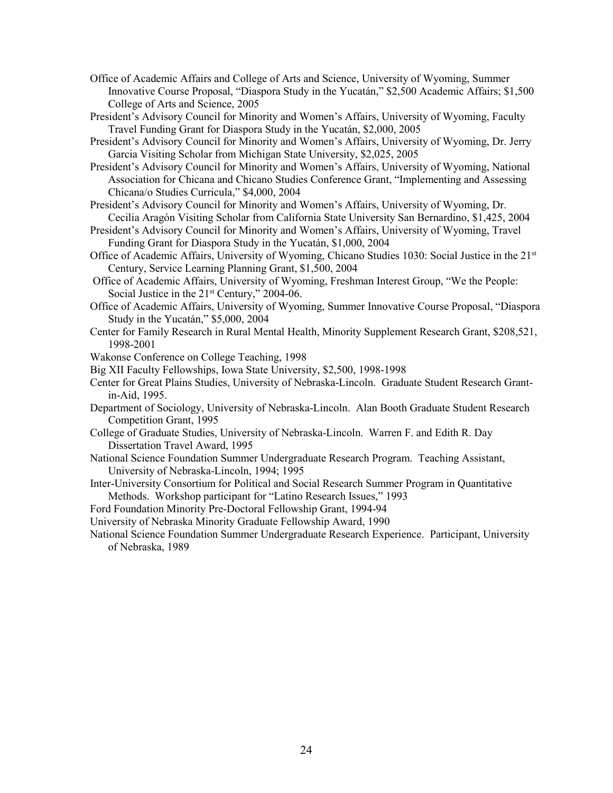- Office of Academic Affairs and College of Arts and Science, University of Wyoming, Summer Innovative Course Proposal, "Diaspora Study in the Yucatán," \$2,500 Academic Affairs; \$1,500 College of Arts and Science, 2005
- President's Advisory Council for Minority and Women's Affairs, University of Wyoming, Faculty Travel Funding Grant for Diaspora Study in the Yucatán, \$2,000, 2005
- President's Advisory Council for Minority and Women's Affairs, University of Wyoming, Dr. Jerry Garcia Visiting Scholar from Michigan State University, \$2,025, 2005
- President's Advisory Council for Minority and Women's Affairs, University of Wyoming, National Association for Chicana and Chicano Studies Conference Grant, "Implementing and Assessing Chicana/o Studies Curricula," \$4,000, 2004
- President's Advisory Council for Minority and Women's Affairs, University of Wyoming, Dr. Cecilia Aragón Visiting Scholar from California State University San Bernardino, \$1,425, 2004
- President's Advisory Council for Minority and Women's Affairs, University of Wyoming, Travel Funding Grant for Diaspora Study in the Yucatán, \$1,000, 2004
- Office of Academic Affairs, University of Wyoming, Chicano Studies 1030: Social Justice in the 21st Century, Service Learning Planning Grant, \$1,500, 2004
- Office of Academic Affairs, University of Wyoming, Freshman Interest Group, "We the People: Social Justice in the 21<sup>st</sup> Century," 2004-06.
- Office of Academic Affairs, University of Wyoming, Summer Innovative Course Proposal, "Diaspora Study in the Yucatán," \$5,000, 2004
- Center for Family Research in Rural Mental Health, Minority Supplement Research Grant, \$208,521, 1998-2001
- Wakonse Conference on College Teaching, 1998
- Big XII Faculty Fellowships, Iowa State University, \$2,500, 1998-1998
- Center for Great Plains Studies, University of Nebraska-Lincoln. Graduate Student Research Grantin-Aid, 1995.
- Department of Sociology, University of Nebraska-Lincoln. Alan Booth Graduate Student Research Competition Grant, 1995
- College of Graduate Studies, University of Nebraska-Lincoln. Warren F. and Edith R. Day Dissertation Travel Award, 1995
- National Science Foundation Summer Undergraduate Research Program. Teaching Assistant, University of Nebraska-Lincoln, 1994; 1995
- Inter-University Consortium for Political and Social Research Summer Program in Quantitative Methods. Workshop participant for "Latino Research Issues," 1993
- Ford Foundation Minority Pre-Doctoral Fellowship Grant, 1994-94
- University of Nebraska Minority Graduate Fellowship Award, 1990
- National Science Foundation Summer Undergraduate Research Experience. Participant, University of Nebraska, 1989